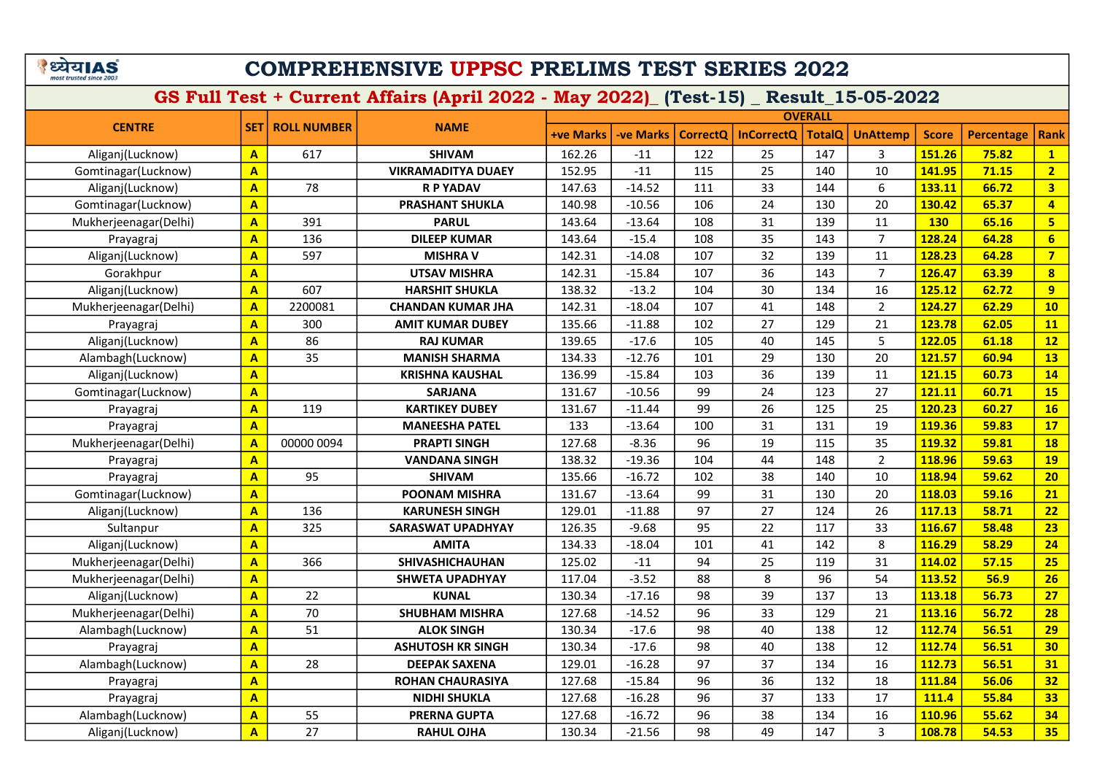| अय1A                    |  | 5 |
|-------------------------|--|---|
| most trusted since 2003 |  |   |

|                       | <b>OVERALL</b>          |                    |                           |                  |                  |                 |                   |               |                 |              |                   |                         |
|-----------------------|-------------------------|--------------------|---------------------------|------------------|------------------|-----------------|-------------------|---------------|-----------------|--------------|-------------------|-------------------------|
| <b>CENTRE</b>         | <b>SET</b>              | <b>ROLL NUMBER</b> | <b>NAME</b>               | <b>+ve Marks</b> | <b>-ve Marks</b> | <b>CorrectQ</b> | <b>InCorrectQ</b> | <b>TotalQ</b> | <b>UnAttemp</b> | <b>Score</b> | <b>Percentage</b> | <b>Rank</b>             |
| Aliganj(Lucknow)      | $\overline{A}$          | 617                | <b>SHIVAM</b>             | 162.26           | $-11$            | 122             | 25                | 147           | 3               | 151.26       | 75.82             | $\mathbf{1}$            |
| Gomtinagar(Lucknow)   | $\mathbf{A}$            |                    | <b>VIKRAMADITYA DUAEY</b> | 152.95           | $-11$            | 115             | 25                | 140           | 10              | 141.95       | 71.15             | 2 <sup>1</sup>          |
| Aliganj(Lucknow)      | $\mathbf{A}$            | 78                 | <b>R P YADAV</b>          | 147.63           | $-14.52$         | 111             | 33                | 144           | 6               | 133.11       | 66.72             | $\overline{\mathbf{3}}$ |
| Gomtinagar(Lucknow)   | $\mathbf{A}$            |                    | <b>PRASHANT SHUKLA</b>    | 140.98           | $-10.56$         | 106             | 24                | 130           | 20              | 130.42       | 65.37             | $\overline{4}$          |
| Mukherjeenagar(Delhi) | $\overline{\mathbf{A}}$ | 391                | <b>PARUL</b>              | 143.64           | $-13.64$         | 108             | 31                | 139           | 11              | <b>130</b>   | 65.16             | 5 <sup>1</sup>          |
| Prayagraj             | $\mathbf{A}$            | 136                | <b>DILEEP KUMAR</b>       | 143.64           | $-15.4$          | 108             | 35                | 143           | $\overline{7}$  | 128.24       | 64.28             | 6                       |
| Aliganj(Lucknow)      | $\mathbf{A}$            | 597                | <b>MISHRA V</b>           | 142.31           | $-14.08$         | 107             | 32                | 139           | 11              | 128.23       | 64.28             | $\overline{7}$          |
| Gorakhpur             | $\overline{\mathbf{A}}$ |                    | <b>UTSAV MISHRA</b>       | 142.31           | $-15.84$         | 107             | 36                | 143           | $\overline{7}$  | 126.47       | 63.39             | $\overline{\mathbf{8}}$ |
| Aliganj(Lucknow)      | $\overline{\mathbf{A}}$ | 607                | <b>HARSHIT SHUKLA</b>     | 138.32           | $-13.2$          | 104             | 30                | 134           | 16              | 125.12       | 62.72             | 9                       |
| Mukherjeenagar(Delhi) | $\overline{\mathbf{A}}$ | 2200081            | <b>CHANDAN KUMAR JHA</b>  | 142.31           | $-18.04$         | 107             | 41                | 148           | $\overline{2}$  | 124.27       | 62.29             | 10                      |
| Prayagraj             | $\mathbf{A}$            | 300                | <b>AMIT KUMAR DUBEY</b>   | 135.66           | $-11.88$         | 102             | 27                | 129           | 21              | 123.78       | 62.05             | <b>11</b>               |
| Aliganj(Lucknow)      | $\overline{\mathbf{A}}$ | 86                 | <b>RAJ KUMAR</b>          | 139.65           | $-17.6$          | 105             | 40                | 145           | 5               | 122.05       | 61.18             | 12                      |
| Alambagh(Lucknow)     | $\mathbf{A}$            | 35                 | <b>MANISH SHARMA</b>      | 134.33           | $-12.76$         | 101             | 29                | 130           | 20              | 121.57       | 60.94             | <b>13</b>               |
| Aliganj(Lucknow)      | $\overline{\mathbf{A}}$ |                    | <b>KRISHNA KAUSHAL</b>    | 136.99           | $-15.84$         | 103             | 36                | 139           | 11              | 121.15       | 60.73             | 14                      |
| Gomtinagar(Lucknow)   | $\overline{\mathbf{A}}$ |                    | <b>SARJANA</b>            | 131.67           | $-10.56$         | 99              | 24                | 123           | 27              | 121.11       | 60.71             | <b>15</b>               |
| Prayagraj             | $\overline{\mathbf{A}}$ | 119                | <b>KARTIKEY DUBEY</b>     | 131.67           | $-11.44$         | 99              | 26                | 125           | 25              | 120.23       | 60.27             | 16                      |
| Prayagraj             | $\mathbf{A}$            |                    | <b>MANEESHA PATEL</b>     | 133              | $-13.64$         | 100             | 31                | 131           | 19              | 119.36       | 59.83             | 17                      |
| Mukherjeenagar(Delhi) | $\mathbf{A}$            | 00000 0094         | <b>PRAPTI SINGH</b>       | 127.68           | $-8.36$          | 96              | 19                | 115           | 35              | 119.32       | 59.81             | <b>18</b>               |
| Prayagraj             | $\mathbf{A}$            |                    | <b>VANDANA SINGH</b>      | 138.32           | $-19.36$         | 104             | 44                | 148           | $\overline{2}$  | 118.96       | 59.63             | <b>19</b>               |
| Prayagraj             | $\overline{\mathbf{A}}$ | 95                 | <b>SHIVAM</b>             | 135.66           | $-16.72$         | 102             | 38                | 140           | 10              | 118.94       | 59.62             | 20                      |
| Gomtinagar(Lucknow)   | $\mathbf{A}$            |                    | <b>POONAM MISHRA</b>      | 131.67           | $-13.64$         | 99              | 31                | 130           | 20              | 118.03       | 59.16             | 21                      |
| Aliganj(Lucknow)      | $\overline{\mathbf{A}}$ | 136                | <b>KARUNESH SINGH</b>     | 129.01           | $-11.88$         | 97              | 27                | 124           | 26              | 117.13       | 58.71             | 22                      |
| Sultanpur             | $\overline{\mathbf{A}}$ | 325                | <b>SARASWAT UPADHYAY</b>  | 126.35           | $-9.68$          | 95              | 22                | 117           | 33              | 116.67       | 58.48             | 23                      |
| Aliganj(Lucknow)      | $\mathbf{A}$            |                    | <b>AMITA</b>              | 134.33           | $-18.04$         | 101             | 41                | 142           | 8               | 116.29       | 58.29             | 24                      |
| Mukherjeenagar(Delhi) | $\mathbf{A}$            | 366                | SHIVASHICHAUHAN           | 125.02           | $-11$            | 94              | 25                | 119           | 31              | 114.02       | 57.15             | 25                      |
| Mukherjeenagar(Delhi) | $\mathbf{A}$            |                    | <b>SHWETA UPADHYAY</b>    | 117.04           | $-3.52$          | 88              | 8                 | 96            | 54              | 113.52       | 56.9              | 26                      |
| Aliganj(Lucknow)      | $\mathbf{A}$            | 22                 | <b>KUNAL</b>              | 130.34           | $-17.16$         | 98              | 39                | 137           | 13              | 113.18       | 56.73             | 27                      |
| Mukherjeenagar(Delhi) | $\mathbf{A}$            | 70                 | <b>SHUBHAM MISHRA</b>     | 127.68           | $-14.52$         | 96              | 33                | 129           | 21              | 113.16       | 56.72             | 28                      |
| Alambagh(Lucknow)     | $\mathbf{A}$            | 51                 | <b>ALOK SINGH</b>         | 130.34           | $-17.6$          | 98              | 40                | 138           | 12              | 112.74       | 56.51             | 29                      |
| Prayagraj             | $\overline{\mathbf{A}}$ |                    | <b>ASHUTOSH KR SINGH</b>  | 130.34           | $-17.6$          | 98              | 40                | 138           | 12              | 112.74       | 56.51             | 30                      |
| Alambagh(Lucknow)     | $\overline{\mathbf{A}}$ | 28                 | <b>DEEPAK SAXENA</b>      | 129.01           | $-16.28$         | 97              | 37                | 134           | 16              | 112.73       | 56.51             | 31                      |
| Prayagraj             | $\mathbf{A}$            |                    | <b>ROHAN CHAURASIYA</b>   | 127.68           | $-15.84$         | 96              | 36                | 132           | 18              | 111.84       | 56.06             | 32                      |
| Prayagraj             | $\overline{\mathbf{A}}$ |                    | <b>NIDHI SHUKLA</b>       | 127.68           | $-16.28$         | 96              | 37                | 133           | 17              | 111.4        | 55.84             | 33                      |
| Alambagh(Lucknow)     | $\mathbf{A}$            | 55                 | <b>PRERNA GUPTA</b>       | 127.68           | $-16.72$         | 96              | 38                | 134           | 16              | 110.96       | 55.62             | 34                      |
| Aliganj(Lucknow)      | $\overline{\mathbf{A}}$ | 27                 | <b>RAHUL OJHA</b>         | 130.34           | $-21.56$         | 98              | 49                | 147           | 3               | 108.78       | 54.53             | 35                      |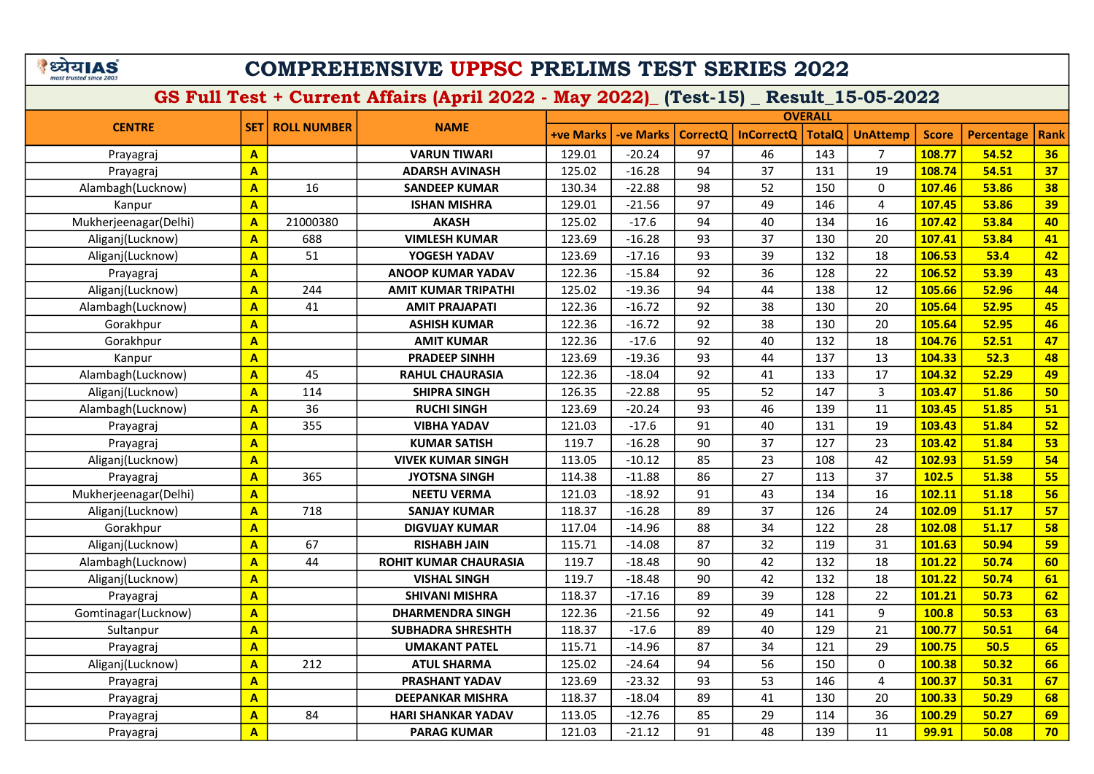#### COMPREHENSIVE UPPSC PRELIMS TEST SERIES 2022

|                       |                         |                    |                              |                  |                  |                 | <b>OVERALL</b>    |               |                 |              |                   |             |  |
|-----------------------|-------------------------|--------------------|------------------------------|------------------|------------------|-----------------|-------------------|---------------|-----------------|--------------|-------------------|-------------|--|
| <b>CENTRE</b>         | <b>SET</b>              | <b>ROLL NUMBER</b> | <b>NAME</b>                  | <b>+ve Marks</b> | <b>-ve Marks</b> | <b>CorrectQ</b> | <b>InCorrectQ</b> | <b>TotalQ</b> | <b>UnAttemp</b> | <b>Score</b> | <b>Percentage</b> | <b>Rank</b> |  |
| Prayagraj             | $\overline{A}$          |                    | <b>VARUN TIWARI</b>          | 129.01           | $-20.24$         | 97              | 46                | 143           | $\overline{7}$  | 108.77       | 54.52             | 36          |  |
| Prayagraj             | $\overline{\mathbf{A}}$ |                    | <b>ADARSH AVINASH</b>        | 125.02           | $-16.28$         | 94              | 37                | 131           | 19              | 108.74       | 54.51             | 37          |  |
| Alambagh(Lucknow)     | $\overline{\mathsf{A}}$ | 16                 | <b>SANDEEP KUMAR</b>         | 130.34           | $-22.88$         | 98              | 52                | 150           | $\mathbf 0$     | 107.46       | 53.86             | 38          |  |
| Kanpur                | $\overline{A}$          |                    | <b>ISHAN MISHRA</b>          | 129.01           | $-21.56$         | 97              | 49                | 146           | $\overline{4}$  | 107.45       | 53.86             | 39          |  |
| Mukherjeenagar(Delhi) | $\overline{A}$          | 21000380           | <b>AKASH</b>                 | 125.02           | $-17.6$          | 94              | 40                | 134           | 16              | 107.42       | 53.84             | 40          |  |
| Aliganj(Lucknow)      | $\mathbf{A}$            | 688                | <b>VIMLESH KUMAR</b>         | 123.69           | $-16.28$         | 93              | 37                | 130           | 20              | 107.41       | 53.84             | 41          |  |
| Aliganj(Lucknow)      | $\mathbf{A}$            | 51                 | YOGESH YADAV                 | 123.69           | $-17.16$         | 93              | 39                | 132           | 18              | 106.53       | 53.4              | 42          |  |
| Prayagraj             | $\overline{\mathbf{A}}$ |                    | <b>ANOOP KUMAR YADAV</b>     | 122.36           | $-15.84$         | 92              | 36                | 128           | 22              | 106.52       | 53.39             | 43          |  |
| Aliganj(Lucknow)      | $\overline{\mathbf{A}}$ | 244                | <b>AMIT KUMAR TRIPATHI</b>   | 125.02           | $-19.36$         | 94              | 44                | 138           | 12              | 105.66       | 52.96             | 44          |  |
| Alambagh(Lucknow)     | $\overline{\mathsf{A}}$ | 41                 | <b>AMIT PRAJAPATI</b>        | 122.36           | $-16.72$         | 92              | 38                | 130           | 20              | 105.64       | 52.95             | 45          |  |
| Gorakhpur             | $\overline{\mathbf{A}}$ |                    | <b>ASHISH KUMAR</b>          | 122.36           | $-16.72$         | 92              | 38                | 130           | 20              | 105.64       | 52.95             | 46          |  |
| Gorakhpur             | $\overline{\mathbf{A}}$ |                    | <b>AMIT KUMAR</b>            | 122.36           | $-17.6$          | 92              | 40                | 132           | 18              | 104.76       | 52.51             | 47          |  |
| Kanpur                | $\overline{\mathsf{A}}$ |                    | <b>PRADEEP SINHH</b>         | 123.69           | $-19.36$         | 93              | 44                | 137           | 13              | 104.33       | 52.3              | 48          |  |
| Alambagh(Lucknow)     | $\overline{\mathbf{A}}$ | 45                 | <b>RAHUL CHAURASIA</b>       | 122.36           | $-18.04$         | 92              | 41                | 133           | 17              | 104.32       | 52.29             | 49          |  |
| Aliganj(Lucknow)      | $\overline{A}$          | 114                | <b>SHIPRA SINGH</b>          | 126.35           | $-22.88$         | 95              | 52                | 147           | 3               | 103.47       | 51.86             | 50          |  |
| Alambagh(Lucknow)     | $\overline{A}$          | 36                 | <b>RUCHI SINGH</b>           | 123.69           | $-20.24$         | 93              | 46                | 139           | 11              | 103.45       | 51.85             | 51          |  |
| Prayagraj             | $\overline{A}$          | 355                | <b>VIBHA YADAV</b>           | 121.03           | $-17.6$          | 91              | 40                | 131           | 19              | 103.43       | 51.84             | 52          |  |
| Prayagraj             | $\mathbf{A}$            |                    | <b>KUMAR SATISH</b>          | 119.7            | $-16.28$         | 90              | 37                | 127           | 23              | 103.42       | 51.84             | 53          |  |
| Aliganj(Lucknow)      | $\overline{A}$          |                    | <b>VIVEK KUMAR SINGH</b>     | 113.05           | $-10.12$         | 85              | 23                | 108           | 42              | 102.93       | 51.59             | 54          |  |
| Prayagraj             | $\overline{A}$          | 365                | <b>JYOTSNA SINGH</b>         | 114.38           | $-11.88$         | 86              | 27                | 113           | 37              | 102.5        | 51.38             | 55          |  |
| Mukherjeenagar(Delhi) | $\overline{\mathsf{A}}$ |                    | <b>NEETU VERMA</b>           | 121.03           | $-18.92$         | 91              | 43                | 134           | 16              | 102.11       | 51.18             | 56          |  |
| Aliganj(Lucknow)      | $\mathbf{A}$            | 718                | <b>SANJAY KUMAR</b>          | 118.37           | $-16.28$         | 89              | 37                | 126           | 24              | 102.09       | 51.17             | 57          |  |
| Gorakhpur             | $\overline{A}$          |                    | <b>DIGVIJAY KUMAR</b>        | 117.04           | $-14.96$         | 88              | 34                | 122           | 28              | 102.08       | 51.17             | 58          |  |
| Aliganj(Lucknow)      | $\overline{\mathbf{A}}$ | 67                 | <b>RISHABH JAIN</b>          | 115.71           | $-14.08$         | 87              | 32                | 119           | 31              | 101.63       | 50.94             | 59          |  |
| Alambagh(Lucknow)     | $\mathbf{A}$            | 44                 | <b>ROHIT KUMAR CHAURASIA</b> | 119.7            | $-18.48$         | 90              | 42                | 132           | 18              | 101.22       | 50.74             | 60          |  |
| Aliganj(Lucknow)      | $\overline{\mathsf{A}}$ |                    | <b>VISHAL SINGH</b>          | 119.7            | $-18.48$         | 90              | 42                | 132           | 18              | 101.22       | 50.74             | 61          |  |
| Prayagraj             | $\overline{\mathbf{A}}$ |                    | <b>SHIVANI MISHRA</b>        | 118.37           | $-17.16$         | 89              | 39                | 128           | 22              | 101.21       | 50.73             | 62          |  |
| Gomtinagar(Lucknow)   | $\overline{\mathsf{A}}$ |                    | <b>DHARMENDRA SINGH</b>      | 122.36           | $-21.56$         | 92              | 49                | 141           | 9               | 100.8        | 50.53             | 63          |  |
| Sultanpur             | $\overline{\mathbf{A}}$ |                    | <b>SUBHADRA SHRESHTH</b>     | 118.37           | $-17.6$          | 89              | 40                | 129           | 21              | 100.77       | 50.51             | 64          |  |
| Prayagraj             | $\overline{\mathbf{A}}$ |                    | <b>UMAKANT PATEL</b>         | 115.71           | $-14.96$         | 87              | 34                | 121           | 29              | 100.75       | 50.5              | 65          |  |
| Aliganj(Lucknow)      | $\overline{\mathbf{A}}$ | 212                | <b>ATUL SHARMA</b>           | 125.02           | $-24.64$         | 94              | 56                | 150           | 0               | 100.38       | 50.32             | 66          |  |
| Prayagraj             | $\overline{\mathbf{A}}$ |                    | PRASHANT YADAV               | 123.69           | $-23.32$         | 93              | 53                | 146           | $\overline{4}$  | 100.37       | 50.31             | 67          |  |
| Prayagraj             | $\overline{\mathsf{A}}$ |                    | <b>DEEPANKAR MISHRA</b>      | 118.37           | $-18.04$         | 89              | 41                | 130           | 20              | 100.33       | 50.29             | 68          |  |
| Prayagraj             | $\overline{\mathsf{A}}$ | 84                 | <b>HARI SHANKAR YADAV</b>    | 113.05           | $-12.76$         | 85              | 29                | 114           | 36              | 100.29       | 50.27             | 69          |  |
| Prayagraj             | $\overline{\mathsf{A}}$ |                    | <b>PARAG KUMAR</b>           | 121.03           | $-21.12$         | 91              | 48                | 139           | 11              | 99.91        | 50.08             | 70          |  |
|                       |                         |                    |                              |                  |                  |                 |                   |               |                 |              |                   |             |  |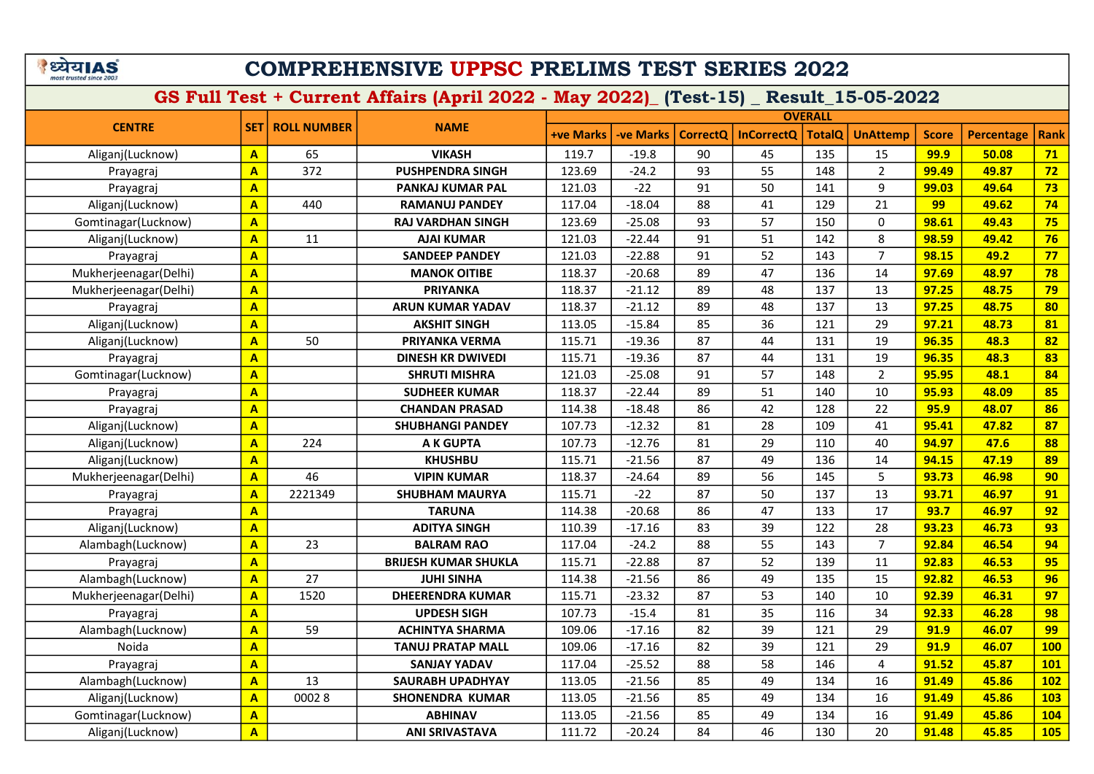## COMPREHENSIVE UPPSC PRELIMS TEST SERIES 2022

|                       |                         |                          | <b>NAME</b>                 |                  | <b>OVERALL</b> |          |                   |               |                 |              |                   |             |
|-----------------------|-------------------------|--------------------------|-----------------------------|------------------|----------------|----------|-------------------|---------------|-----------------|--------------|-------------------|-------------|
| <b>CENTRE</b>         |                         | <b>SET   ROLL NUMBER</b> |                             | <b>+ve Marks</b> | -ve Marks      | CorrectQ | <b>InCorrectQ</b> | <b>TotalQ</b> | <b>UnAttemp</b> | <b>Score</b> | <b>Percentage</b> | <b>Rank</b> |
| Aliganj(Lucknow)      | $\mathbf{A}$            | 65                       | <b>VIKASH</b>               | 119.7            | $-19.8$        | 90       | 45                | 135           | 15              | 99.9         | 50.08             | 71          |
| Prayagraj             | $\mathbf{A}$            | 372                      | <b>PUSHPENDRA SINGH</b>     | 123.69           | $-24.2$        | 93       | 55                | 148           | $\overline{2}$  | 99.49        | 49.87             | 72          |
| Prayagraj             | $\overline{\mathbf{A}}$ |                          | <b>PANKAJ KUMAR PAL</b>     | 121.03           | $-22$          | 91       | 50                | 141           | 9               | 99.03        | 49.64             | 73          |
| Aliganj(Lucknow)      | $\overline{A}$          | 440                      | <b>RAMANUJ PANDEY</b>       | 117.04           | $-18.04$       | 88       | 41                | 129           | 21              | 99           | 49.62             | 74          |
| Gomtinagar(Lucknow)   | $\overline{\mathbf{A}}$ |                          | <b>RAJ VARDHAN SINGH</b>    | 123.69           | $-25.08$       | 93       | 57                | 150           | $\mathbf 0$     | 98.61        | 49.43             | 75          |
| Aliganj(Lucknow)      | $\mathbf{A}$            | 11                       | <b>AJAI KUMAR</b>           | 121.03           | $-22.44$       | 91       | 51                | 142           | 8               | 98.59        | 49.42             | 76          |
| Prayagraj             | $\overline{\mathbf{A}}$ |                          | <b>SANDEEP PANDEY</b>       | 121.03           | $-22.88$       | 91       | 52                | 143           | $\overline{7}$  | 98.15        | 49.2              | 77          |
| Mukherjeenagar(Delhi) | $\overline{\mathsf{A}}$ |                          | <b>MANOK OITIBE</b>         | 118.37           | $-20.68$       | 89       | 47                | 136           | 14              | 97.69        | 48.97             | 78          |
| Mukherjeenagar(Delhi) | $\overline{\mathbf{A}}$ |                          | <b>PRIYANKA</b>             | 118.37           | $-21.12$       | 89       | 48                | 137           | 13              | 97.25        | 48.75             | 79          |
| Prayagraj             | $\overline{\mathbf{A}}$ |                          | <b>ARUN KUMAR YADAV</b>     | 118.37           | $-21.12$       | 89       | 48                | 137           | 13              | 97.25        | 48.75             | 80          |
| Aliganj(Lucknow)      | $\overline{\mathsf{A}}$ |                          | <b>AKSHIT SINGH</b>         | 113.05           | $-15.84$       | 85       | 36                | 121           | 29              | 97.21        | 48.73             | 81          |
| Aliganj(Lucknow)      | $\overline{\mathbf{A}}$ | 50                       | PRIYANKA VERMA              | 115.71           | $-19.36$       | 87       | 44                | 131           | 19              | 96.35        | 48.3              | 82          |
| Prayagraj             | $\overline{\mathbf{A}}$ |                          | <b>DINESH KR DWIVEDI</b>    | 115.71           | $-19.36$       | 87       | 44                | 131           | 19              | 96.35        | 48.3              | 83          |
| Gomtinagar(Lucknow)   | $\overline{\mathbf{A}}$ |                          | <b>SHRUTI MISHRA</b>        | 121.03           | $-25.08$       | 91       | 57                | 148           | $\overline{2}$  | 95.95        | 48.1              | 84          |
| Prayagraj             | $\overline{\mathbf{A}}$ |                          | <b>SUDHEER KUMAR</b>        | 118.37           | $-22.44$       | 89       | 51                | 140           | 10              | 95.93        | 48.09             | 85          |
| Prayagraj             | $\overline{\mathbf{A}}$ |                          | <b>CHANDAN PRASAD</b>       | 114.38           | $-18.48$       | 86       | 42                | 128           | 22              | 95.9         | 48.07             | 86          |
| Aliganj(Lucknow)      | $\overline{\mathbf{A}}$ |                          | <b>SHUBHANGI PANDEY</b>     | 107.73           | $-12.32$       | 81       | 28                | 109           | 41              | 95.41        | 47.82             | 87          |
| Aliganj(Lucknow)      | $\overline{\mathbf{A}}$ | 224                      | A K GUPTA                   | 107.73           | $-12.76$       | 81       | 29                | 110           | 40              | 94.97        | 47.6              | 88          |
| Aliganj(Lucknow)      | $\mathbf{A}$            |                          | <b>KHUSHBU</b>              | 115.71           | $-21.56$       | 87       | 49                | 136           | 14              | 94.15        | 47.19             | 89          |
| Mukherjeenagar(Delhi) | $\mathbf{A}$            | 46                       | <b>VIPIN KUMAR</b>          | 118.37           | $-24.64$       | 89       | 56                | 145           | 5               | 93.73        | 46.98             | 90          |
| Prayagraj             | $\overline{\mathbf{A}}$ | 2221349                  | <b>SHUBHAM MAURYA</b>       | 115.71           | $-22$          | 87       | 50                | 137           | 13              | 93.71        | 46.97             | 91          |
| Prayagraj             | $\overline{\mathsf{A}}$ |                          | <b>TARUNA</b>               | 114.38           | $-20.68$       | 86       | 47                | 133           | 17              | 93.7         | 46.97             | 92          |
| Aliganj(Lucknow)      | $\overline{\mathbf{A}}$ |                          | <b>ADITYA SINGH</b>         | 110.39           | $-17.16$       | 83       | 39                | 122           | 28              | 93.23        | 46.73             | 93          |
| Alambagh(Lucknow)     | $\overline{\mathbf{A}}$ | 23                       | <b>BALRAM RAO</b>           | 117.04           | $-24.2$        | 88       | 55                | 143           | $\overline{7}$  | 92.84        | 46.54             | 94          |
| Prayagraj             | $\overline{\mathsf{A}}$ |                          | <b>BRIJESH KUMAR SHUKLA</b> | 115.71           | $-22.88$       | 87       | 52                | 139           | 11              | 92.83        | 46.53             | 95          |
| Alambagh(Lucknow)     | $\overline{A}$          | 27                       | <b>JUHI SINHA</b>           | 114.38           | $-21.56$       | 86       | 49                | 135           | 15              | 92.82        | 46.53             | 96          |
| Mukherjeenagar(Delhi) | $\overline{\mathbf{A}}$ | 1520                     | <b>DHEERENDRA KUMAR</b>     | 115.71           | $-23.32$       | 87       | 53                | 140           | 10              | 92.39        | 46.31             | 97          |
| Prayagraj             | $\overline{\mathbf{A}}$ |                          | <b>UPDESH SIGH</b>          | 107.73           | $-15.4$        | 81       | 35                | 116           | 34              | 92.33        | 46.28             | 98          |
| Alambagh(Lucknow)     | $\overline{\mathbf{A}}$ | 59                       | <b>ACHINTYA SHARMA</b>      | 109.06           | $-17.16$       | 82       | 39                | 121           | 29              | 91.9         | 46.07             | 99          |
| Noida                 | $\overline{A}$          |                          | <b>TANUJ PRATAP MALL</b>    | 109.06           | $-17.16$       | 82       | 39                | 121           | 29              | 91.9         | 46.07             | <b>100</b>  |
| Prayagraj             | $\overline{\mathbf{A}}$ |                          | <b>SANJAY YADAV</b>         | 117.04           | $-25.52$       | 88       | 58                | 146           | 4               | 91.52        | 45.87             | <b>101</b>  |
| Alambagh(Lucknow)     | $\overline{\mathbf{A}}$ | 13                       | <b>SAURABH UPADHYAY</b>     | 113.05           | $-21.56$       | 85       | 49                | 134           | 16              | 91.49        | 45.86             | <b>102</b>  |
| Aliganj(Lucknow)      | $\overline{\mathbf{A}}$ | 00028                    | <b>SHONENDRA KUMAR</b>      | 113.05           | $-21.56$       | 85       | 49                | 134           | 16              | 91.49        | 45.86             | <b>103</b>  |
| Gomtinagar(Lucknow)   | $\overline{\mathbf{A}}$ |                          | <b>ABHINAV</b>              | 113.05           | $-21.56$       | 85       | 49                | 134           | 16              | 91.49        | 45.86             | <b>104</b>  |
| Aliganj(Lucknow)      | $\overline{\mathbf{A}}$ |                          | <b>ANI SRIVASTAVA</b>       | 111.72           | $-20.24$       | 84       | 46                | 130           | 20              | 91.48        | 45.85             | <b>105</b>  |
|                       |                         |                          |                             |                  |                |          |                   |               |                 |              |                   |             |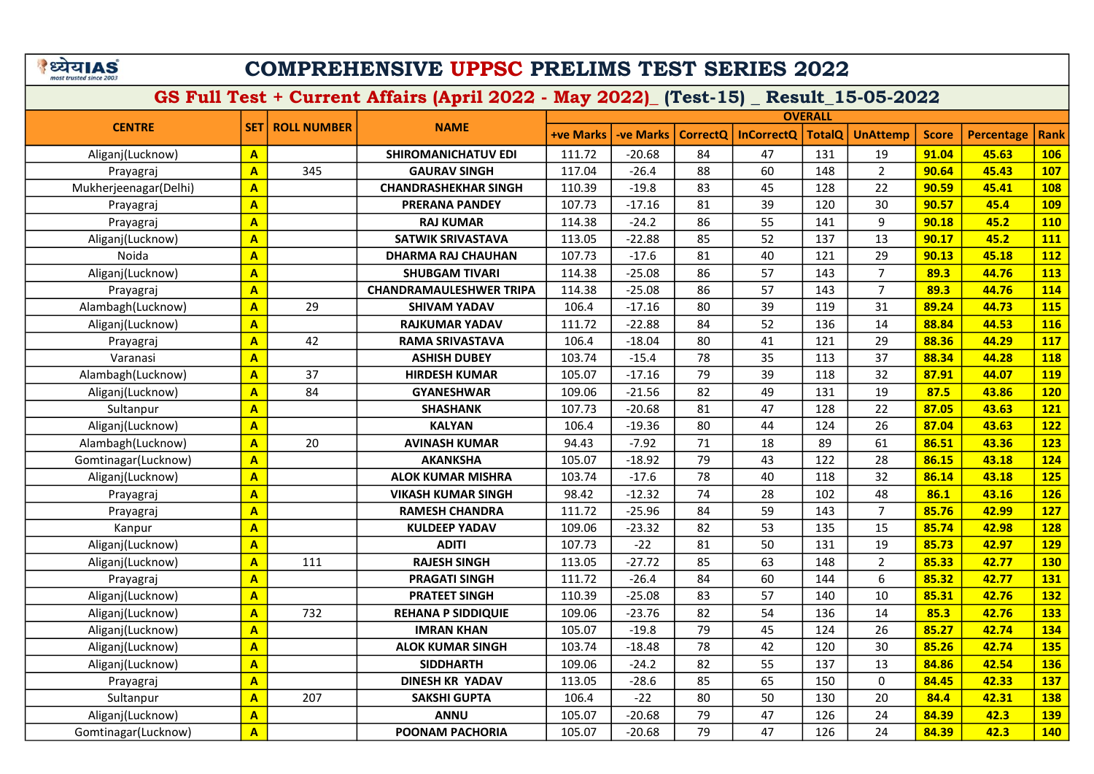# COMPREHENSIVE UPPSC PRELIMS TEST SERIES 2022

| <b>SET</b><br><b>+ve Marks</b><br><b>TotalQ</b><br><b>-ve Marks</b><br><b>CorrectQ</b><br><b>InCorrectQ</b><br><b>UnAttemp</b><br><b>Score</b><br><b>Percentage</b><br><b>Rank</b><br>84<br>47<br>131<br>106<br>$\mathbf{A}$<br><b>SHIROMANICHATUV EDI</b><br>111.72<br>$-20.68$<br>19<br>91.04<br>45.63<br>Aliganj(Lucknow)<br>88<br>345<br>60<br>$\overline{2}$<br>$\overline{\mathbf{A}}$<br>117.04<br>$-26.4$<br>148<br>90.64<br>45.43<br><b>107</b><br><b>GAURAV SINGH</b><br>Prayagraj<br>83<br>45<br>22<br>$\overline{\mathsf{A}}$<br>$-19.8$<br>128<br>90.59<br>45.41<br><b>108</b><br>Mukherjeenagar(Delhi)<br><b>CHANDRASHEKHAR SINGH</b><br>110.39<br>81<br>$\overline{\mathsf{A}}$<br>$-17.16$<br>39<br>120<br>30<br>45.4<br><b>PRERANA PANDEY</b><br>107.73<br>90.57<br><b>109</b><br>Prayagraj<br>$-24.2$<br>86<br>55<br>9<br>$\overline{\mathsf{A}}$<br><b>RAJ KUMAR</b><br>114.38<br>141<br>45.2<br><b>110</b><br>90.18<br>Prayagraj<br>85<br>52<br>$\overline{\mathsf{A}}$<br>$-22.88$<br>137<br>13<br>45.2<br>111<br>Aliganj(Lucknow)<br><b>SATWIK SRIVASTAVA</b><br>113.05<br>90.17<br>$\overline{\mathsf{A}}$<br>$-17.6$<br>81<br>40<br>121<br>29<br>45.18<br>112<br>Noida<br><b>DHARMA RAJ CHAUHAN</b><br>107.73<br>90.13<br>$\overline{\mathsf{A}}$<br>86<br>57<br>$\overline{7}$<br>113<br>Aliganj(Lucknow)<br>114.38<br>$-25.08$<br>143<br>89.3<br>44.76<br><b>SHUBGAM TIVARI</b><br>$\overline{\mathsf{A}}$<br>86<br>57<br>$\overline{7}$<br>114.38<br>$-25.08$<br>143<br>89.3<br>44.76<br>114<br><b>CHANDRAMAULESHWER TRIPA</b><br>Prayagraj<br>$\overline{\mathbf{A}}$<br>29<br>80<br>39<br>119<br>89.24<br>44.73<br><b>115</b><br>Alambagh(Lucknow)<br>106.4<br>$-17.16$<br>31<br><b>SHIVAM YADAV</b><br>84<br>52<br>136<br>14<br>44.53<br><b>116</b><br>$\overline{\mathbf{A}}$<br>111.72<br>$-22.88$<br>88.84<br>Aliganj(Lucknow)<br><b>RAJKUMAR YADAV</b><br>$\overline{\mathbf{A}}$<br>42<br>80<br>121<br>29<br>88.36<br>44.29<br>117<br>106.4<br>$-18.04$<br>41<br>RAMA SRIVASTAVA<br>Prayagraj<br>78<br>103.74<br>$-15.4$<br>35<br>37<br>88.34<br>44.28<br><b>118</b><br>$\mathbf{A}$<br><b>ASHISH DUBEY</b><br>113<br>Varanasi<br>37<br>79<br>39<br>32<br>$\overline{\mathsf{A}}$<br>105.07<br>$-17.16$<br>118<br>87.91<br>44.07<br><b>119</b><br>Alambagh(Lucknow)<br><b>HIRDESH KUMAR</b><br>84<br>82<br>131<br>19<br>87.5<br>43.86<br>Aliganj(Lucknow)<br>$\overline{\mathsf{A}}$<br><b>GYANESHWAR</b><br>109.06<br>$-21.56$<br>49<br><b>120</b><br>$-20.68$<br>81<br>47<br>128<br>22<br>87.05<br>43.63<br><b>121</b><br>$\mathbf{A}$<br><b>SHASHANK</b><br>107.73<br>Sultanpur<br>80<br>$\overline{\mathbf{A}}$<br><b>KALYAN</b><br>$-19.36$<br>124<br>26<br>87.04<br>43.63<br><b>122</b><br>Aliganj(Lucknow)<br>106.4<br>44<br>89<br>$\mathbf{A}$<br>20<br>94.43<br>$-7.92$<br>71<br>18<br>61<br>86.51<br>43.36<br><b>123</b><br>Alambagh(Lucknow)<br><b>AVINASH KUMAR</b><br>79<br>43<br>122<br>Gomtinagar(Lucknow)<br>$\mathbf{A}$<br>105.07<br>$-18.92$<br>28<br>86.15<br>43.18<br><b>124</b><br><b>AKANKSHA</b><br>$\overline{\mathsf{A}}$<br>78<br>32<br>103.74<br>$-17.6$<br>40<br>118<br>86.14<br>43.18<br><b>125</b><br>Aliganj(Lucknow)<br><b>ALOK KUMAR MISHRA</b><br>$\overline{\mathsf{A}}$<br>74<br>28<br>102<br>86.1<br>43.16<br><b>126</b><br>98.42<br>$-12.32$<br>48<br>Prayagraj<br><b>VIKASH KUMAR SINGH</b><br>$\overline{7}$<br>$\overline{\mathsf{A}}$<br>84<br>59<br>85.76<br>42.99<br><b>127</b><br>111.72<br>$-25.96$<br>143<br>Prayagraj<br><b>RAMESH CHANDRA</b><br>$\overline{\mathsf{A}}$<br>82<br>53<br>$-23.32$<br>135<br>15<br>85.74<br>42.98<br><b>128</b><br>Kanpur<br><b>KULDEEP YADAV</b><br>109.06<br>$\overline{\mathsf{A}}$<br>$-22$<br>81<br>50<br>19<br><b>129</b><br>Aliganj(Lucknow)<br><b>ADITI</b><br>107.73<br>131<br>85.73<br>42.97<br>$\overline{\mathbf{A}}$<br>$-27.72$<br>85<br>63<br>$\overline{2}$<br><b>130</b><br>111<br><b>RAJESH SINGH</b><br>113.05<br>148<br>85.33<br>42.77<br>Aliganj(Lucknow)<br>6<br>131<br>$\mathbf{A}$<br>111.72<br>$-26.4$<br>84<br>60<br>144<br>85.32<br>42.77<br>Prayagraj<br><b>PRAGATI SINGH</b><br>$\overline{\mathbf{A}}$<br>57<br>132<br>$-25.08$<br>83<br>10<br>85.31<br>42.76<br>Aliganj(Lucknow)<br><b>PRATEET SINGH</b><br>110.39<br>140<br>$\overline{\mathbf{A}}$<br>732<br>82<br>54<br>85.3<br>42.76<br><b>133</b><br>Aliganj(Lucknow)<br>109.06<br>$-23.76$<br>136<br>14<br><b>REHANA P SIDDIQUIE</b><br>$\overline{\mathbf{A}}$<br>79<br>45<br>26<br>134<br>105.07<br>$-19.8$<br>124<br>85.27<br>42.74<br>Aliganj(Lucknow)<br><b>IMRAN KHAN</b><br>$\overline{\mathbf{A}}$<br><b>135</b><br>103.74<br>$-18.48$<br>78<br>42<br>120<br>30<br>85.26<br>42.74<br>Aliganj(Lucknow)<br><b>ALOK KUMAR SINGH</b><br>$\overline{\mathbf{A}}$<br>109.06<br>$-24.2$<br>82<br>55<br>137<br>13<br>84.86<br>42.54<br><b>136</b><br>Aliganj(Lucknow)<br><b>SIDDHARTH</b><br>A<br>85<br>65<br>0<br>84.45<br>42.33<br>137<br><b>DINESH KR YADAV</b><br>113.05<br>$-28.6$<br>150<br>Prayagraj<br>$\overline{\mathbf{A}}$<br>207<br>106.4<br>$-22$<br>80<br>50<br>130<br>20<br>84.4<br>42.31<br>138<br>Sultanpur<br><b>SAKSHI GUPTA</b><br>$\overline{\mathbf{A}}$<br>105.07<br>$-20.68$<br>79<br>47<br>126<br>24<br>84.39<br>42.3<br><b>139</b><br>Aliganj(Lucknow)<br><b>ANNU</b> |               |                    | <b>NAME</b> |  |  | <b>OVERALL</b> |  |  |  |  |      |  |
|----------------------------------------------------------------------------------------------------------------------------------------------------------------------------------------------------------------------------------------------------------------------------------------------------------------------------------------------------------------------------------------------------------------------------------------------------------------------------------------------------------------------------------------------------------------------------------------------------------------------------------------------------------------------------------------------------------------------------------------------------------------------------------------------------------------------------------------------------------------------------------------------------------------------------------------------------------------------------------------------------------------------------------------------------------------------------------------------------------------------------------------------------------------------------------------------------------------------------------------------------------------------------------------------------------------------------------------------------------------------------------------------------------------------------------------------------------------------------------------------------------------------------------------------------------------------------------------------------------------------------------------------------------------------------------------------------------------------------------------------------------------------------------------------------------------------------------------------------------------------------------------------------------------------------------------------------------------------------------------------------------------------------------------------------------------------------------------------------------------------------------------------------------------------------------------------------------------------------------------------------------------------------------------------------------------------------------------------------------------------------------------------------------------------------------------------------------------------------------------------------------------------------------------------------------------------------------------------------------------------------------------------------------------------------------------------------------------------------------------------------------------------------------------------------------------------------------------------------------------------------------------------------------------------------------------------------------------------------------------------------------------------------------------------------------------------------------------------------------------------------------------------------------------------------------------------------------------------------------------------------------------------------------------------------------------------------------------------------------------------------------------------------------------------------------------------------------------------------------------------------------------------------------------------------------------------------------------------------------------------------------------------------------------------------------------------------------------------------------------------------------------------------------------------------------------------------------------------------------------------------------------------------------------------------------------------------------------------------------------------------------------------------------------------------------------------------------------------------------------------------------------------------------------------------------------------------------------------------------------------------------------------------------------------------------------------------------------------------------------------------------------------------------------------------------------------------------------------------------------------------------------------------------------------------------------------------------------------------------------------------------------------------------------------------------------------------------------------------------------------------------------------------------------------------------------------------------------------------------------------------------------------------------------------------------------------------------------------------------------------------------------------------------------------------------------------------------------------------------------------------------------------------------------------------------------------------------------------------------------------------------------------------------------------------------|---------------|--------------------|-------------|--|--|----------------|--|--|--|--|------|--|
|                                                                                                                                                                                                                                                                                                                                                                                                                                                                                                                                                                                                                                                                                                                                                                                                                                                                                                                                                                                                                                                                                                                                                                                                                                                                                                                                                                                                                                                                                                                                                                                                                                                                                                                                                                                                                                                                                                                                                                                                                                                                                                                                                                                                                                                                                                                                                                                                                                                                                                                                                                                                                                                                                                                                                                                                                                                                                                                                                                                                                                                                                                                                                                                                                                                                                                                                                                                                                                                                                                                                                                                                                                                                                                                                                                                                                                                                                                                                                                                                                                                                                                                                                                                                                                                                                                                                                                                                                                                                                                                                                                                                                                                                                                                                                                                                                                                                                                                                                                                                                                                                                                                                                                                                                                                                                                          | <b>CENTRE</b> | <b>ROLL NUMBER</b> |             |  |  |                |  |  |  |  |      |  |
|                                                                                                                                                                                                                                                                                                                                                                                                                                                                                                                                                                                                                                                                                                                                                                                                                                                                                                                                                                                                                                                                                                                                                                                                                                                                                                                                                                                                                                                                                                                                                                                                                                                                                                                                                                                                                                                                                                                                                                                                                                                                                                                                                                                                                                                                                                                                                                                                                                                                                                                                                                                                                                                                                                                                                                                                                                                                                                                                                                                                                                                                                                                                                                                                                                                                                                                                                                                                                                                                                                                                                                                                                                                                                                                                                                                                                                                                                                                                                                                                                                                                                                                                                                                                                                                                                                                                                                                                                                                                                                                                                                                                                                                                                                                                                                                                                                                                                                                                                                                                                                                                                                                                                                                                                                                                                                          |               |                    |             |  |  |                |  |  |  |  |      |  |
|                                                                                                                                                                                                                                                                                                                                                                                                                                                                                                                                                                                                                                                                                                                                                                                                                                                                                                                                                                                                                                                                                                                                                                                                                                                                                                                                                                                                                                                                                                                                                                                                                                                                                                                                                                                                                                                                                                                                                                                                                                                                                                                                                                                                                                                                                                                                                                                                                                                                                                                                                                                                                                                                                                                                                                                                                                                                                                                                                                                                                                                                                                                                                                                                                                                                                                                                                                                                                                                                                                                                                                                                                                                                                                                                                                                                                                                                                                                                                                                                                                                                                                                                                                                                                                                                                                                                                                                                                                                                                                                                                                                                                                                                                                                                                                                                                                                                                                                                                                                                                                                                                                                                                                                                                                                                                                          |               |                    |             |  |  |                |  |  |  |  |      |  |
|                                                                                                                                                                                                                                                                                                                                                                                                                                                                                                                                                                                                                                                                                                                                                                                                                                                                                                                                                                                                                                                                                                                                                                                                                                                                                                                                                                                                                                                                                                                                                                                                                                                                                                                                                                                                                                                                                                                                                                                                                                                                                                                                                                                                                                                                                                                                                                                                                                                                                                                                                                                                                                                                                                                                                                                                                                                                                                                                                                                                                                                                                                                                                                                                                                                                                                                                                                                                                                                                                                                                                                                                                                                                                                                                                                                                                                                                                                                                                                                                                                                                                                                                                                                                                                                                                                                                                                                                                                                                                                                                                                                                                                                                                                                                                                                                                                                                                                                                                                                                                                                                                                                                                                                                                                                                                                          |               |                    |             |  |  |                |  |  |  |  |      |  |
|                                                                                                                                                                                                                                                                                                                                                                                                                                                                                                                                                                                                                                                                                                                                                                                                                                                                                                                                                                                                                                                                                                                                                                                                                                                                                                                                                                                                                                                                                                                                                                                                                                                                                                                                                                                                                                                                                                                                                                                                                                                                                                                                                                                                                                                                                                                                                                                                                                                                                                                                                                                                                                                                                                                                                                                                                                                                                                                                                                                                                                                                                                                                                                                                                                                                                                                                                                                                                                                                                                                                                                                                                                                                                                                                                                                                                                                                                                                                                                                                                                                                                                                                                                                                                                                                                                                                                                                                                                                                                                                                                                                                                                                                                                                                                                                                                                                                                                                                                                                                                                                                                                                                                                                                                                                                                                          |               |                    |             |  |  |                |  |  |  |  |      |  |
|                                                                                                                                                                                                                                                                                                                                                                                                                                                                                                                                                                                                                                                                                                                                                                                                                                                                                                                                                                                                                                                                                                                                                                                                                                                                                                                                                                                                                                                                                                                                                                                                                                                                                                                                                                                                                                                                                                                                                                                                                                                                                                                                                                                                                                                                                                                                                                                                                                                                                                                                                                                                                                                                                                                                                                                                                                                                                                                                                                                                                                                                                                                                                                                                                                                                                                                                                                                                                                                                                                                                                                                                                                                                                                                                                                                                                                                                                                                                                                                                                                                                                                                                                                                                                                                                                                                                                                                                                                                                                                                                                                                                                                                                                                                                                                                                                                                                                                                                                                                                                                                                                                                                                                                                                                                                                                          |               |                    |             |  |  |                |  |  |  |  |      |  |
|                                                                                                                                                                                                                                                                                                                                                                                                                                                                                                                                                                                                                                                                                                                                                                                                                                                                                                                                                                                                                                                                                                                                                                                                                                                                                                                                                                                                                                                                                                                                                                                                                                                                                                                                                                                                                                                                                                                                                                                                                                                                                                                                                                                                                                                                                                                                                                                                                                                                                                                                                                                                                                                                                                                                                                                                                                                                                                                                                                                                                                                                                                                                                                                                                                                                                                                                                                                                                                                                                                                                                                                                                                                                                                                                                                                                                                                                                                                                                                                                                                                                                                                                                                                                                                                                                                                                                                                                                                                                                                                                                                                                                                                                                                                                                                                                                                                                                                                                                                                                                                                                                                                                                                                                                                                                                                          |               |                    |             |  |  |                |  |  |  |  |      |  |
|                                                                                                                                                                                                                                                                                                                                                                                                                                                                                                                                                                                                                                                                                                                                                                                                                                                                                                                                                                                                                                                                                                                                                                                                                                                                                                                                                                                                                                                                                                                                                                                                                                                                                                                                                                                                                                                                                                                                                                                                                                                                                                                                                                                                                                                                                                                                                                                                                                                                                                                                                                                                                                                                                                                                                                                                                                                                                                                                                                                                                                                                                                                                                                                                                                                                                                                                                                                                                                                                                                                                                                                                                                                                                                                                                                                                                                                                                                                                                                                                                                                                                                                                                                                                                                                                                                                                                                                                                                                                                                                                                                                                                                                                                                                                                                                                                                                                                                                                                                                                                                                                                                                                                                                                                                                                                                          |               |                    |             |  |  |                |  |  |  |  |      |  |
|                                                                                                                                                                                                                                                                                                                                                                                                                                                                                                                                                                                                                                                                                                                                                                                                                                                                                                                                                                                                                                                                                                                                                                                                                                                                                                                                                                                                                                                                                                                                                                                                                                                                                                                                                                                                                                                                                                                                                                                                                                                                                                                                                                                                                                                                                                                                                                                                                                                                                                                                                                                                                                                                                                                                                                                                                                                                                                                                                                                                                                                                                                                                                                                                                                                                                                                                                                                                                                                                                                                                                                                                                                                                                                                                                                                                                                                                                                                                                                                                                                                                                                                                                                                                                                                                                                                                                                                                                                                                                                                                                                                                                                                                                                                                                                                                                                                                                                                                                                                                                                                                                                                                                                                                                                                                                                          |               |                    |             |  |  |                |  |  |  |  |      |  |
|                                                                                                                                                                                                                                                                                                                                                                                                                                                                                                                                                                                                                                                                                                                                                                                                                                                                                                                                                                                                                                                                                                                                                                                                                                                                                                                                                                                                                                                                                                                                                                                                                                                                                                                                                                                                                                                                                                                                                                                                                                                                                                                                                                                                                                                                                                                                                                                                                                                                                                                                                                                                                                                                                                                                                                                                                                                                                                                                                                                                                                                                                                                                                                                                                                                                                                                                                                                                                                                                                                                                                                                                                                                                                                                                                                                                                                                                                                                                                                                                                                                                                                                                                                                                                                                                                                                                                                                                                                                                                                                                                                                                                                                                                                                                                                                                                                                                                                                                                                                                                                                                                                                                                                                                                                                                                                          |               |                    |             |  |  |                |  |  |  |  |      |  |
|                                                                                                                                                                                                                                                                                                                                                                                                                                                                                                                                                                                                                                                                                                                                                                                                                                                                                                                                                                                                                                                                                                                                                                                                                                                                                                                                                                                                                                                                                                                                                                                                                                                                                                                                                                                                                                                                                                                                                                                                                                                                                                                                                                                                                                                                                                                                                                                                                                                                                                                                                                                                                                                                                                                                                                                                                                                                                                                                                                                                                                                                                                                                                                                                                                                                                                                                                                                                                                                                                                                                                                                                                                                                                                                                                                                                                                                                                                                                                                                                                                                                                                                                                                                                                                                                                                                                                                                                                                                                                                                                                                                                                                                                                                                                                                                                                                                                                                                                                                                                                                                                                                                                                                                                                                                                                                          |               |                    |             |  |  |                |  |  |  |  |      |  |
|                                                                                                                                                                                                                                                                                                                                                                                                                                                                                                                                                                                                                                                                                                                                                                                                                                                                                                                                                                                                                                                                                                                                                                                                                                                                                                                                                                                                                                                                                                                                                                                                                                                                                                                                                                                                                                                                                                                                                                                                                                                                                                                                                                                                                                                                                                                                                                                                                                                                                                                                                                                                                                                                                                                                                                                                                                                                                                                                                                                                                                                                                                                                                                                                                                                                                                                                                                                                                                                                                                                                                                                                                                                                                                                                                                                                                                                                                                                                                                                                                                                                                                                                                                                                                                                                                                                                                                                                                                                                                                                                                                                                                                                                                                                                                                                                                                                                                                                                                                                                                                                                                                                                                                                                                                                                                                          |               |                    |             |  |  |                |  |  |  |  |      |  |
|                                                                                                                                                                                                                                                                                                                                                                                                                                                                                                                                                                                                                                                                                                                                                                                                                                                                                                                                                                                                                                                                                                                                                                                                                                                                                                                                                                                                                                                                                                                                                                                                                                                                                                                                                                                                                                                                                                                                                                                                                                                                                                                                                                                                                                                                                                                                                                                                                                                                                                                                                                                                                                                                                                                                                                                                                                                                                                                                                                                                                                                                                                                                                                                                                                                                                                                                                                                                                                                                                                                                                                                                                                                                                                                                                                                                                                                                                                                                                                                                                                                                                                                                                                                                                                                                                                                                                                                                                                                                                                                                                                                                                                                                                                                                                                                                                                                                                                                                                                                                                                                                                                                                                                                                                                                                                                          |               |                    |             |  |  |                |  |  |  |  |      |  |
|                                                                                                                                                                                                                                                                                                                                                                                                                                                                                                                                                                                                                                                                                                                                                                                                                                                                                                                                                                                                                                                                                                                                                                                                                                                                                                                                                                                                                                                                                                                                                                                                                                                                                                                                                                                                                                                                                                                                                                                                                                                                                                                                                                                                                                                                                                                                                                                                                                                                                                                                                                                                                                                                                                                                                                                                                                                                                                                                                                                                                                                                                                                                                                                                                                                                                                                                                                                                                                                                                                                                                                                                                                                                                                                                                                                                                                                                                                                                                                                                                                                                                                                                                                                                                                                                                                                                                                                                                                                                                                                                                                                                                                                                                                                                                                                                                                                                                                                                                                                                                                                                                                                                                                                                                                                                                                          |               |                    |             |  |  |                |  |  |  |  |      |  |
|                                                                                                                                                                                                                                                                                                                                                                                                                                                                                                                                                                                                                                                                                                                                                                                                                                                                                                                                                                                                                                                                                                                                                                                                                                                                                                                                                                                                                                                                                                                                                                                                                                                                                                                                                                                                                                                                                                                                                                                                                                                                                                                                                                                                                                                                                                                                                                                                                                                                                                                                                                                                                                                                                                                                                                                                                                                                                                                                                                                                                                                                                                                                                                                                                                                                                                                                                                                                                                                                                                                                                                                                                                                                                                                                                                                                                                                                                                                                                                                                                                                                                                                                                                                                                                                                                                                                                                                                                                                                                                                                                                                                                                                                                                                                                                                                                                                                                                                                                                                                                                                                                                                                                                                                                                                                                                          |               |                    |             |  |  |                |  |  |  |  |      |  |
|                                                                                                                                                                                                                                                                                                                                                                                                                                                                                                                                                                                                                                                                                                                                                                                                                                                                                                                                                                                                                                                                                                                                                                                                                                                                                                                                                                                                                                                                                                                                                                                                                                                                                                                                                                                                                                                                                                                                                                                                                                                                                                                                                                                                                                                                                                                                                                                                                                                                                                                                                                                                                                                                                                                                                                                                                                                                                                                                                                                                                                                                                                                                                                                                                                                                                                                                                                                                                                                                                                                                                                                                                                                                                                                                                                                                                                                                                                                                                                                                                                                                                                                                                                                                                                                                                                                                                                                                                                                                                                                                                                                                                                                                                                                                                                                                                                                                                                                                                                                                                                                                                                                                                                                                                                                                                                          |               |                    |             |  |  |                |  |  |  |  |      |  |
|                                                                                                                                                                                                                                                                                                                                                                                                                                                                                                                                                                                                                                                                                                                                                                                                                                                                                                                                                                                                                                                                                                                                                                                                                                                                                                                                                                                                                                                                                                                                                                                                                                                                                                                                                                                                                                                                                                                                                                                                                                                                                                                                                                                                                                                                                                                                                                                                                                                                                                                                                                                                                                                                                                                                                                                                                                                                                                                                                                                                                                                                                                                                                                                                                                                                                                                                                                                                                                                                                                                                                                                                                                                                                                                                                                                                                                                                                                                                                                                                                                                                                                                                                                                                                                                                                                                                                                                                                                                                                                                                                                                                                                                                                                                                                                                                                                                                                                                                                                                                                                                                                                                                                                                                                                                                                                          |               |                    |             |  |  |                |  |  |  |  |      |  |
|                                                                                                                                                                                                                                                                                                                                                                                                                                                                                                                                                                                                                                                                                                                                                                                                                                                                                                                                                                                                                                                                                                                                                                                                                                                                                                                                                                                                                                                                                                                                                                                                                                                                                                                                                                                                                                                                                                                                                                                                                                                                                                                                                                                                                                                                                                                                                                                                                                                                                                                                                                                                                                                                                                                                                                                                                                                                                                                                                                                                                                                                                                                                                                                                                                                                                                                                                                                                                                                                                                                                                                                                                                                                                                                                                                                                                                                                                                                                                                                                                                                                                                                                                                                                                                                                                                                                                                                                                                                                                                                                                                                                                                                                                                                                                                                                                                                                                                                                                                                                                                                                                                                                                                                                                                                                                                          |               |                    |             |  |  |                |  |  |  |  |      |  |
|                                                                                                                                                                                                                                                                                                                                                                                                                                                                                                                                                                                                                                                                                                                                                                                                                                                                                                                                                                                                                                                                                                                                                                                                                                                                                                                                                                                                                                                                                                                                                                                                                                                                                                                                                                                                                                                                                                                                                                                                                                                                                                                                                                                                                                                                                                                                                                                                                                                                                                                                                                                                                                                                                                                                                                                                                                                                                                                                                                                                                                                                                                                                                                                                                                                                                                                                                                                                                                                                                                                                                                                                                                                                                                                                                                                                                                                                                                                                                                                                                                                                                                                                                                                                                                                                                                                                                                                                                                                                                                                                                                                                                                                                                                                                                                                                                                                                                                                                                                                                                                                                                                                                                                                                                                                                                                          |               |                    |             |  |  |                |  |  |  |  |      |  |
|                                                                                                                                                                                                                                                                                                                                                                                                                                                                                                                                                                                                                                                                                                                                                                                                                                                                                                                                                                                                                                                                                                                                                                                                                                                                                                                                                                                                                                                                                                                                                                                                                                                                                                                                                                                                                                                                                                                                                                                                                                                                                                                                                                                                                                                                                                                                                                                                                                                                                                                                                                                                                                                                                                                                                                                                                                                                                                                                                                                                                                                                                                                                                                                                                                                                                                                                                                                                                                                                                                                                                                                                                                                                                                                                                                                                                                                                                                                                                                                                                                                                                                                                                                                                                                                                                                                                                                                                                                                                                                                                                                                                                                                                                                                                                                                                                                                                                                                                                                                                                                                                                                                                                                                                                                                                                                          |               |                    |             |  |  |                |  |  |  |  |      |  |
|                                                                                                                                                                                                                                                                                                                                                                                                                                                                                                                                                                                                                                                                                                                                                                                                                                                                                                                                                                                                                                                                                                                                                                                                                                                                                                                                                                                                                                                                                                                                                                                                                                                                                                                                                                                                                                                                                                                                                                                                                                                                                                                                                                                                                                                                                                                                                                                                                                                                                                                                                                                                                                                                                                                                                                                                                                                                                                                                                                                                                                                                                                                                                                                                                                                                                                                                                                                                                                                                                                                                                                                                                                                                                                                                                                                                                                                                                                                                                                                                                                                                                                                                                                                                                                                                                                                                                                                                                                                                                                                                                                                                                                                                                                                                                                                                                                                                                                                                                                                                                                                                                                                                                                                                                                                                                                          |               |                    |             |  |  |                |  |  |  |  |      |  |
|                                                                                                                                                                                                                                                                                                                                                                                                                                                                                                                                                                                                                                                                                                                                                                                                                                                                                                                                                                                                                                                                                                                                                                                                                                                                                                                                                                                                                                                                                                                                                                                                                                                                                                                                                                                                                                                                                                                                                                                                                                                                                                                                                                                                                                                                                                                                                                                                                                                                                                                                                                                                                                                                                                                                                                                                                                                                                                                                                                                                                                                                                                                                                                                                                                                                                                                                                                                                                                                                                                                                                                                                                                                                                                                                                                                                                                                                                                                                                                                                                                                                                                                                                                                                                                                                                                                                                                                                                                                                                                                                                                                                                                                                                                                                                                                                                                                                                                                                                                                                                                                                                                                                                                                                                                                                                                          |               |                    |             |  |  |                |  |  |  |  |      |  |
|                                                                                                                                                                                                                                                                                                                                                                                                                                                                                                                                                                                                                                                                                                                                                                                                                                                                                                                                                                                                                                                                                                                                                                                                                                                                                                                                                                                                                                                                                                                                                                                                                                                                                                                                                                                                                                                                                                                                                                                                                                                                                                                                                                                                                                                                                                                                                                                                                                                                                                                                                                                                                                                                                                                                                                                                                                                                                                                                                                                                                                                                                                                                                                                                                                                                                                                                                                                                                                                                                                                                                                                                                                                                                                                                                                                                                                                                                                                                                                                                                                                                                                                                                                                                                                                                                                                                                                                                                                                                                                                                                                                                                                                                                                                                                                                                                                                                                                                                                                                                                                                                                                                                                                                                                                                                                                          |               |                    |             |  |  |                |  |  |  |  |      |  |
|                                                                                                                                                                                                                                                                                                                                                                                                                                                                                                                                                                                                                                                                                                                                                                                                                                                                                                                                                                                                                                                                                                                                                                                                                                                                                                                                                                                                                                                                                                                                                                                                                                                                                                                                                                                                                                                                                                                                                                                                                                                                                                                                                                                                                                                                                                                                                                                                                                                                                                                                                                                                                                                                                                                                                                                                                                                                                                                                                                                                                                                                                                                                                                                                                                                                                                                                                                                                                                                                                                                                                                                                                                                                                                                                                                                                                                                                                                                                                                                                                                                                                                                                                                                                                                                                                                                                                                                                                                                                                                                                                                                                                                                                                                                                                                                                                                                                                                                                                                                                                                                                                                                                                                                                                                                                                                          |               |                    |             |  |  |                |  |  |  |  |      |  |
|                                                                                                                                                                                                                                                                                                                                                                                                                                                                                                                                                                                                                                                                                                                                                                                                                                                                                                                                                                                                                                                                                                                                                                                                                                                                                                                                                                                                                                                                                                                                                                                                                                                                                                                                                                                                                                                                                                                                                                                                                                                                                                                                                                                                                                                                                                                                                                                                                                                                                                                                                                                                                                                                                                                                                                                                                                                                                                                                                                                                                                                                                                                                                                                                                                                                                                                                                                                                                                                                                                                                                                                                                                                                                                                                                                                                                                                                                                                                                                                                                                                                                                                                                                                                                                                                                                                                                                                                                                                                                                                                                                                                                                                                                                                                                                                                                                                                                                                                                                                                                                                                                                                                                                                                                                                                                                          |               |                    |             |  |  |                |  |  |  |  |      |  |
|                                                                                                                                                                                                                                                                                                                                                                                                                                                                                                                                                                                                                                                                                                                                                                                                                                                                                                                                                                                                                                                                                                                                                                                                                                                                                                                                                                                                                                                                                                                                                                                                                                                                                                                                                                                                                                                                                                                                                                                                                                                                                                                                                                                                                                                                                                                                                                                                                                                                                                                                                                                                                                                                                                                                                                                                                                                                                                                                                                                                                                                                                                                                                                                                                                                                                                                                                                                                                                                                                                                                                                                                                                                                                                                                                                                                                                                                                                                                                                                                                                                                                                                                                                                                                                                                                                                                                                                                                                                                                                                                                                                                                                                                                                                                                                                                                                                                                                                                                                                                                                                                                                                                                                                                                                                                                                          |               |                    |             |  |  |                |  |  |  |  |      |  |
|                                                                                                                                                                                                                                                                                                                                                                                                                                                                                                                                                                                                                                                                                                                                                                                                                                                                                                                                                                                                                                                                                                                                                                                                                                                                                                                                                                                                                                                                                                                                                                                                                                                                                                                                                                                                                                                                                                                                                                                                                                                                                                                                                                                                                                                                                                                                                                                                                                                                                                                                                                                                                                                                                                                                                                                                                                                                                                                                                                                                                                                                                                                                                                                                                                                                                                                                                                                                                                                                                                                                                                                                                                                                                                                                                                                                                                                                                                                                                                                                                                                                                                                                                                                                                                                                                                                                                                                                                                                                                                                                                                                                                                                                                                                                                                                                                                                                                                                                                                                                                                                                                                                                                                                                                                                                                                          |               |                    |             |  |  |                |  |  |  |  |      |  |
|                                                                                                                                                                                                                                                                                                                                                                                                                                                                                                                                                                                                                                                                                                                                                                                                                                                                                                                                                                                                                                                                                                                                                                                                                                                                                                                                                                                                                                                                                                                                                                                                                                                                                                                                                                                                                                                                                                                                                                                                                                                                                                                                                                                                                                                                                                                                                                                                                                                                                                                                                                                                                                                                                                                                                                                                                                                                                                                                                                                                                                                                                                                                                                                                                                                                                                                                                                                                                                                                                                                                                                                                                                                                                                                                                                                                                                                                                                                                                                                                                                                                                                                                                                                                                                                                                                                                                                                                                                                                                                                                                                                                                                                                                                                                                                                                                                                                                                                                                                                                                                                                                                                                                                                                                                                                                                          |               |                    |             |  |  |                |  |  |  |  |      |  |
|                                                                                                                                                                                                                                                                                                                                                                                                                                                                                                                                                                                                                                                                                                                                                                                                                                                                                                                                                                                                                                                                                                                                                                                                                                                                                                                                                                                                                                                                                                                                                                                                                                                                                                                                                                                                                                                                                                                                                                                                                                                                                                                                                                                                                                                                                                                                                                                                                                                                                                                                                                                                                                                                                                                                                                                                                                                                                                                                                                                                                                                                                                                                                                                                                                                                                                                                                                                                                                                                                                                                                                                                                                                                                                                                                                                                                                                                                                                                                                                                                                                                                                                                                                                                                                                                                                                                                                                                                                                                                                                                                                                                                                                                                                                                                                                                                                                                                                                                                                                                                                                                                                                                                                                                                                                                                                          |               |                    |             |  |  |                |  |  |  |  |      |  |
|                                                                                                                                                                                                                                                                                                                                                                                                                                                                                                                                                                                                                                                                                                                                                                                                                                                                                                                                                                                                                                                                                                                                                                                                                                                                                                                                                                                                                                                                                                                                                                                                                                                                                                                                                                                                                                                                                                                                                                                                                                                                                                                                                                                                                                                                                                                                                                                                                                                                                                                                                                                                                                                                                                                                                                                                                                                                                                                                                                                                                                                                                                                                                                                                                                                                                                                                                                                                                                                                                                                                                                                                                                                                                                                                                                                                                                                                                                                                                                                                                                                                                                                                                                                                                                                                                                                                                                                                                                                                                                                                                                                                                                                                                                                                                                                                                                                                                                                                                                                                                                                                                                                                                                                                                                                                                                          |               |                    |             |  |  |                |  |  |  |  |      |  |
|                                                                                                                                                                                                                                                                                                                                                                                                                                                                                                                                                                                                                                                                                                                                                                                                                                                                                                                                                                                                                                                                                                                                                                                                                                                                                                                                                                                                                                                                                                                                                                                                                                                                                                                                                                                                                                                                                                                                                                                                                                                                                                                                                                                                                                                                                                                                                                                                                                                                                                                                                                                                                                                                                                                                                                                                                                                                                                                                                                                                                                                                                                                                                                                                                                                                                                                                                                                                                                                                                                                                                                                                                                                                                                                                                                                                                                                                                                                                                                                                                                                                                                                                                                                                                                                                                                                                                                                                                                                                                                                                                                                                                                                                                                                                                                                                                                                                                                                                                                                                                                                                                                                                                                                                                                                                                                          |               |                    |             |  |  |                |  |  |  |  |      |  |
|                                                                                                                                                                                                                                                                                                                                                                                                                                                                                                                                                                                                                                                                                                                                                                                                                                                                                                                                                                                                                                                                                                                                                                                                                                                                                                                                                                                                                                                                                                                                                                                                                                                                                                                                                                                                                                                                                                                                                                                                                                                                                                                                                                                                                                                                                                                                                                                                                                                                                                                                                                                                                                                                                                                                                                                                                                                                                                                                                                                                                                                                                                                                                                                                                                                                                                                                                                                                                                                                                                                                                                                                                                                                                                                                                                                                                                                                                                                                                                                                                                                                                                                                                                                                                                                                                                                                                                                                                                                                                                                                                                                                                                                                                                                                                                                                                                                                                                                                                                                                                                                                                                                                                                                                                                                                                                          |               |                    |             |  |  |                |  |  |  |  |      |  |
|                                                                                                                                                                                                                                                                                                                                                                                                                                                                                                                                                                                                                                                                                                                                                                                                                                                                                                                                                                                                                                                                                                                                                                                                                                                                                                                                                                                                                                                                                                                                                                                                                                                                                                                                                                                                                                                                                                                                                                                                                                                                                                                                                                                                                                                                                                                                                                                                                                                                                                                                                                                                                                                                                                                                                                                                                                                                                                                                                                                                                                                                                                                                                                                                                                                                                                                                                                                                                                                                                                                                                                                                                                                                                                                                                                                                                                                                                                                                                                                                                                                                                                                                                                                                                                                                                                                                                                                                                                                                                                                                                                                                                                                                                                                                                                                                                                                                                                                                                                                                                                                                                                                                                                                                                                                                                                          |               |                    |             |  |  |                |  |  |  |  |      |  |
|                                                                                                                                                                                                                                                                                                                                                                                                                                                                                                                                                                                                                                                                                                                                                                                                                                                                                                                                                                                                                                                                                                                                                                                                                                                                                                                                                                                                                                                                                                                                                                                                                                                                                                                                                                                                                                                                                                                                                                                                                                                                                                                                                                                                                                                                                                                                                                                                                                                                                                                                                                                                                                                                                                                                                                                                                                                                                                                                                                                                                                                                                                                                                                                                                                                                                                                                                                                                                                                                                                                                                                                                                                                                                                                                                                                                                                                                                                                                                                                                                                                                                                                                                                                                                                                                                                                                                                                                                                                                                                                                                                                                                                                                                                                                                                                                                                                                                                                                                                                                                                                                                                                                                                                                                                                                                                          |               |                    |             |  |  |                |  |  |  |  |      |  |
|                                                                                                                                                                                                                                                                                                                                                                                                                                                                                                                                                                                                                                                                                                                                                                                                                                                                                                                                                                                                                                                                                                                                                                                                                                                                                                                                                                                                                                                                                                                                                                                                                                                                                                                                                                                                                                                                                                                                                                                                                                                                                                                                                                                                                                                                                                                                                                                                                                                                                                                                                                                                                                                                                                                                                                                                                                                                                                                                                                                                                                                                                                                                                                                                                                                                                                                                                                                                                                                                                                                                                                                                                                                                                                                                                                                                                                                                                                                                                                                                                                                                                                                                                                                                                                                                                                                                                                                                                                                                                                                                                                                                                                                                                                                                                                                                                                                                                                                                                                                                                                                                                                                                                                                                                                                                                                          |               |                    |             |  |  |                |  |  |  |  |      |  |
| 47<br>Gomtinagar(Lucknow)<br>$\overline{\mathsf{A}}$<br><b>POONAM PACHORIA</b><br>105.07<br>$-20.68$<br>126<br>24<br>84.39<br>140                                                                                                                                                                                                                                                                                                                                                                                                                                                                                                                                                                                                                                                                                                                                                                                                                                                                                                                                                                                                                                                                                                                                                                                                                                                                                                                                                                                                                                                                                                                                                                                                                                                                                                                                                                                                                                                                                                                                                                                                                                                                                                                                                                                                                                                                                                                                                                                                                                                                                                                                                                                                                                                                                                                                                                                                                                                                                                                                                                                                                                                                                                                                                                                                                                                                                                                                                                                                                                                                                                                                                                                                                                                                                                                                                                                                                                                                                                                                                                                                                                                                                                                                                                                                                                                                                                                                                                                                                                                                                                                                                                                                                                                                                                                                                                                                                                                                                                                                                                                                                                                                                                                                                                        |               |                    |             |  |  | 79             |  |  |  |  | 42.3 |  |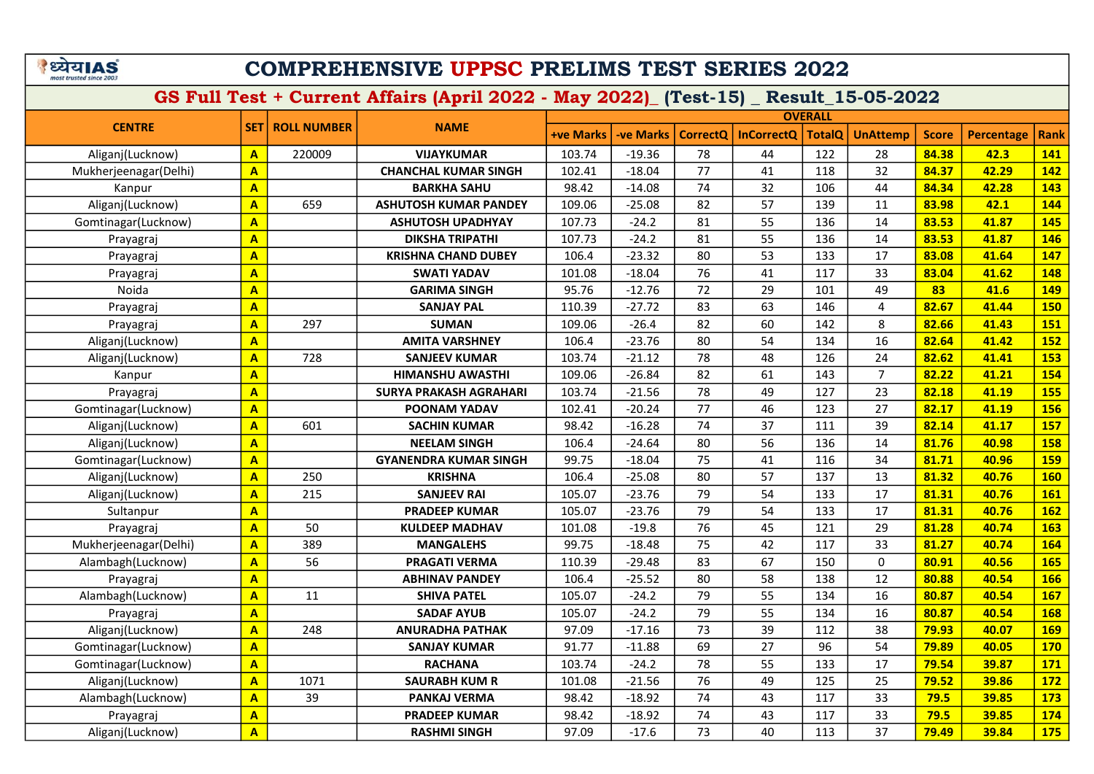|                         | ाया∆ | 51 |
|-------------------------|------|----|
| most trusted since 2003 |      |    |

GS Full Test + Current Affairs (April 2022 - May 2022)\_ (Test-15) \_ Result\_15-05-2022

|                       |                         |                    |                               | <b>OVERALL</b>   |           |                 |                   |               |                 |              |                   |             |
|-----------------------|-------------------------|--------------------|-------------------------------|------------------|-----------|-----------------|-------------------|---------------|-----------------|--------------|-------------------|-------------|
| <b>CENTRE</b>         | <b>SET</b>              | <b>ROLL NUMBER</b> | <b>NAME</b>                   | <b>+ve Marks</b> | -ve Marks | <b>CorrectQ</b> | <b>InCorrectQ</b> | <b>TotalQ</b> | <b>UnAttemp</b> | <b>Score</b> | <b>Percentage</b> | <b>Rank</b> |
| Aliganj(Lucknow)      | $\overline{A}$          | 220009             | <b>VIJAYKUMAR</b>             | 103.74           | $-19.36$  | 78              | 44                | 122           | 28              | 84.38        | 42.3              | 141         |
| Mukherjeenagar(Delhi) | $\overline{\mathbf{A}}$ |                    | <b>CHANCHAL KUMAR SINGH</b>   | 102.41           | $-18.04$  | 77              | 41                | 118           | 32              | 84.37        | 42.29             | <b>142</b>  |
| Kanpur                | A                       |                    | <b>BARKHA SAHU</b>            | 98.42            | $-14.08$  | 74              | 32                | 106           | 44              | 84.34        | 42.28             | 143         |
| Aliganj(Lucknow)      | $\overline{\mathsf{A}}$ | 659                | <b>ASHUTOSH KUMAR PANDEY</b>  | 109.06           | $-25.08$  | 82              | 57                | 139           | 11              | 83.98        | 42.1              | 144         |
| Gomtinagar(Lucknow)   | $\overline{\mathsf{A}}$ |                    | <b>ASHUTOSH UPADHYAY</b>      | 107.73           | $-24.2$   | 81              | 55                | 136           | 14              | 83.53        | 41.87             | 145         |
| Prayagraj             | A                       |                    | <b>DIKSHA TRIPATHI</b>        | 107.73           | $-24.2$   | 81              | 55                | 136           | 14              | 83.53        | 41.87             | 146         |
| Prayagraj             | $\overline{\mathbf{A}}$ |                    | <b>KRISHNA CHAND DUBEY</b>    | 106.4            | $-23.32$  | 80              | 53                | 133           | 17              | 83.08        | 41.64             | 147         |
| Prayagraj             | $\overline{\mathbf{A}}$ |                    | <b>SWATI YADAV</b>            | 101.08           | $-18.04$  | 76              | 41                | 117           | 33              | 83.04        | 41.62             | 148         |
| Noida                 | $\overline{\mathsf{A}}$ |                    | <b>GARIMA SINGH</b>           | 95.76            | $-12.76$  | 72              | 29                | 101           | 49              | 83           | 41.6              | 149         |
| Prayagraj             | A                       |                    | <b>SANJAY PAL</b>             | 110.39           | $-27.72$  | 83              | 63                | 146           | 4               | 82.67        | 41.44             | <b>150</b>  |
| Prayagraj             | A                       | 297                | <b>SUMAN</b>                  | 109.06           | $-26.4$   | 82              | 60                | 142           | 8               | 82.66        | 41.43             | <b>151</b>  |
| Aliganj(Lucknow)      | $\overline{\mathbf{A}}$ |                    | <b>AMITA VARSHNEY</b>         | 106.4            | $-23.76$  | 80              | 54                | 134           | 16              | 82.64        | 41.42             | <b>152</b>  |
| Aliganj(Lucknow)      | A                       | 728                | <b>SANJEEV KUMAR</b>          | 103.74           | $-21.12$  | 78              | 48                | 126           | 24              | 82.62        | 41.41             | 153         |
| Kanpur                | A                       |                    | <b>HIMANSHU AWASTHI</b>       | 109.06           | $-26.84$  | 82              | 61                | 143           | $\overline{7}$  | 82.22        | 41.21             | 154         |
| Prayagraj             | A                       |                    | <b>SURYA PRAKASH AGRAHARI</b> | 103.74           | $-21.56$  | 78              | 49                | 127           | 23              | 82.18        | 41.19             | <b>155</b>  |
| Gomtinagar(Lucknow)   | $\mathbf{A}$            |                    | <b>POONAM YADAV</b>           | 102.41           | $-20.24$  | 77              | 46                | 123           | 27              | 82.17        | 41.19             | <b>156</b>  |
| Aliganj(Lucknow)      | $\overline{\mathbf{A}}$ | 601                | <b>SACHIN KUMAR</b>           | 98.42            | $-16.28$  | 74              | 37                | 111           | 39              | 82.14        | 41.17             | <b>157</b>  |
| Aliganj(Lucknow)      | A                       |                    | <b>NEELAM SINGH</b>           | 106.4            | $-24.64$  | 80              | 56                | 136           | 14              | 81.76        | 40.98             | <b>158</b>  |
| Gomtinagar(Lucknow)   | A                       |                    | <b>GYANENDRA KUMAR SINGH</b>  | 99.75            | $-18.04$  | 75              | 41                | 116           | 34              | 81.71        | 40.96             | <b>159</b>  |
| Aliganj(Lucknow)      | A                       | 250                | <b>KRISHNA</b>                | 106.4            | $-25.08$  | 80              | 57                | 137           | 13              | 81.32        | 40.76             | <b>160</b>  |
| Aliganj(Lucknow)      | A                       | 215                | <b>SANJEEV RAI</b>            | 105.07           | $-23.76$  | 79              | 54                | 133           | 17              | 81.31        | 40.76             | <b>161</b>  |
| Sultanpur             | $\overline{\mathbf{A}}$ |                    | <b>PRADEEP KUMAR</b>          | 105.07           | $-23.76$  | 79              | 54                | 133           | 17              | 81.31        | 40.76             | <b>162</b>  |
| Prayagraj             | $\overline{\mathbf{A}}$ | 50                 | <b>KULDEEP MADHAV</b>         | 101.08           | $-19.8$   | 76              | 45                | 121           | 29              | 81.28        | 40.74             | 163         |
| Mukherjeenagar(Delhi) | A                       | 389                | <b>MANGALEHS</b>              | 99.75            | $-18.48$  | 75              | 42                | 117           | 33              | 81.27        | 40.74             | 164         |
| Alambagh(Lucknow)     | A                       | 56                 | <b>PRAGATI VERMA</b>          | 110.39           | $-29.48$  | 83              | 67                | 150           | $\mathbf 0$     | 80.91        | 40.56             | <b>165</b>  |
| Prayagraj             | $\overline{\mathbf{A}}$ |                    | <b>ABHINAV PANDEY</b>         | 106.4            | $-25.52$  | 80              | 58                | 138           | 12              | 80.88        | 40.54             | <b>166</b>  |
| Alambagh(Lucknow)     | A                       | 11                 | <b>SHIVA PATEL</b>            | 105.07           | $-24.2$   | 79              | 55                | 134           | 16              | 80.87        | 40.54             | <b>167</b>  |
| Prayagraj             | $\overline{\mathbf{A}}$ |                    | <b>SADAF AYUB</b>             | 105.07           | $-24.2$   | 79              | 55                | 134           | 16              | 80.87        | 40.54             | <b>168</b>  |
| Aliganj(Lucknow)      | A                       | 248                | <b>ANURADHA PATHAK</b>        | 97.09            | $-17.16$  | 73              | 39                | 112           | 38              | 79.93        | 40.07             | <b>169</b>  |
| Gomtinagar(Lucknow)   | $\overline{\mathbf{A}}$ |                    | <b>SANJAY KUMAR</b>           | 91.77            | $-11.88$  | 69              | 27                | 96            | 54              | 79.89        | 40.05             | <b>170</b>  |
| Gomtinagar(Lucknow)   | $\overline{\mathbf{A}}$ |                    | <b>RACHANA</b>                | 103.74           | $-24.2$   | 78              | 55                | 133           | 17              | 79.54        | 39.87             | <b>171</b>  |
| Aliganj(Lucknow)      | A                       | 1071               | <b>SAURABH KUM R</b>          | 101.08           | $-21.56$  | 76              | 49                | 125           | 25              | 79.52        | 39.86             | 172         |

Alambagh(Lucknow) <mark>| A |</mark> 39 | PANKAJ VERMA | 98.42 -18.92 | 74 | 43 | 117 | 33 <mark>| 79.5 | 39.85 | 173</mark> Prayagraj <mark>A A PRADEEP KUMAR 98.42 -18.92 74 43 117 33 79.5 39.85 174</mark> Aliganj(Lucknow) A RASHMI SINGH 97.09 -17.6 73 40 113 37 79.49 39.84 175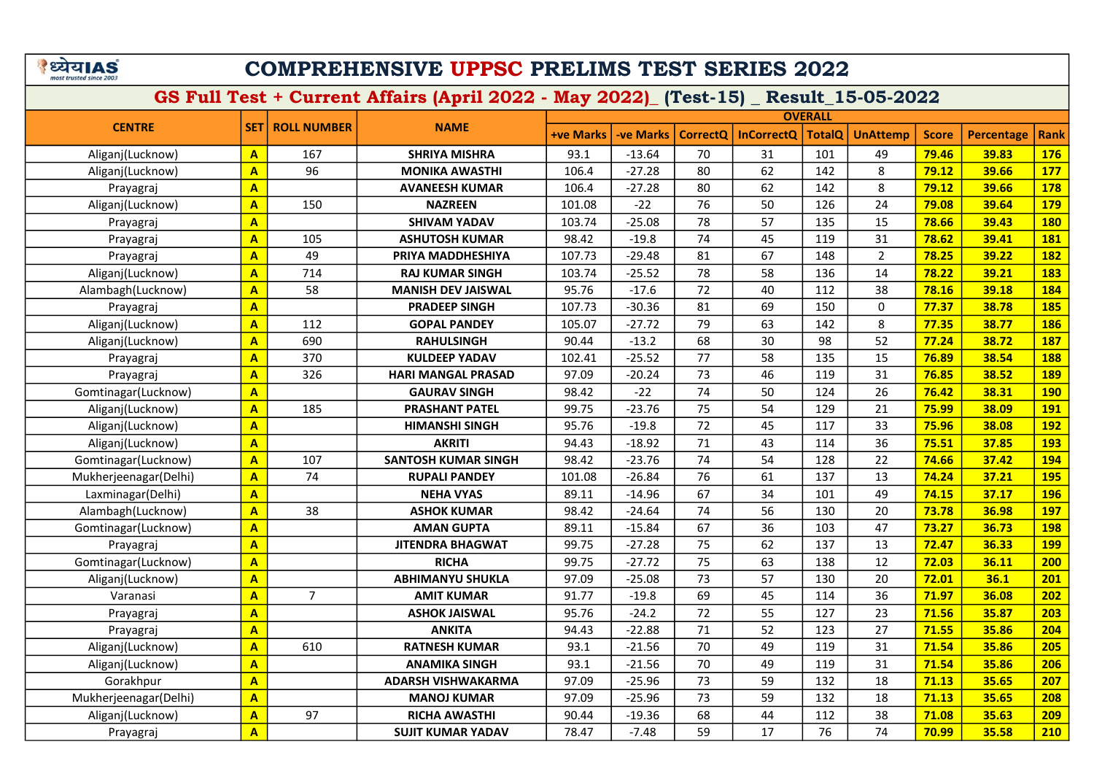#### COMPREHENSIVE UPPSC PRELIMS TEST SERIES 2022

|                       |                         |                    |                            |                  |           |                 | <b>OVERALL</b>    |               |                 |              |                   |             |
|-----------------------|-------------------------|--------------------|----------------------------|------------------|-----------|-----------------|-------------------|---------------|-----------------|--------------|-------------------|-------------|
| <b>CENTRE</b>         | <b>SET</b>              | <b>ROLL NUMBER</b> | <b>NAME</b>                | <b>+ve Marks</b> | -ve Marks | <b>CorrectQ</b> | <b>InCorrectQ</b> | <b>TotalQ</b> | <b>UnAttemp</b> | <b>Score</b> | <b>Percentage</b> | <b>Rank</b> |
| Aliganj(Lucknow)      | A                       | 167                | <b>SHRIYA MISHRA</b>       | 93.1             | $-13.64$  | 70              | 31                | 101           | 49              | 79.46        | 39.83             | <b>176</b>  |
| Aliganj(Lucknow)      | $\overline{\mathsf{A}}$ | 96                 | <b>MONIKA AWASTHI</b>      | 106.4            | $-27.28$  | 80              | 62                | 142           | 8               | 79.12        | 39.66             | <b>177</b>  |
| Prayagraj             | A                       |                    | <b>AVANEESH KUMAR</b>      | 106.4            | $-27.28$  | 80              | 62                | 142           | 8               | 79.12        | 39.66             | <b>178</b>  |
| Aliganj(Lucknow)      | A                       | 150                | <b>NAZREEN</b>             | 101.08           | $-22$     | 76              | 50                | 126           | 24              | 79.08        | 39.64             | <b>179</b>  |
| Prayagraj             | A                       |                    | <b>SHIVAM YADAV</b>        | 103.74           | $-25.08$  | 78              | 57                | 135           | 15              | 78.66        | 39.43             | <b>180</b>  |
| Prayagraj             | $\overline{\mathbf{A}}$ | 105                | <b>ASHUTOSH KUMAR</b>      | 98.42            | $-19.8$   | 74              | 45                | 119           | 31              | 78.62        | 39.41             | 181         |
| Prayagraj             | A                       | 49                 | PRIYA MADDHESHIYA          | 107.73           | $-29.48$  | 81              | 67                | 148           | $\overline{2}$  | 78.25        | 39.22             | <b>182</b>  |
| Aliganj(Lucknow)      | $\overline{\mathsf{A}}$ | 714                | <b>RAJ KUMAR SINGH</b>     | 103.74           | $-25.52$  | 78              | 58                | 136           | 14              | 78.22        | 39.21             | 183         |
| Alambagh(Lucknow)     | A                       | 58                 | <b>MANISH DEV JAISWAL</b>  | 95.76            | $-17.6$   | 72              | 40                | 112           | 38              | 78.16        | 39.18             | 184         |
| Prayagraj             | $\overline{\mathbf{A}}$ |                    | <b>PRADEEP SINGH</b>       | 107.73           | $-30.36$  | 81              | 69                | 150           | $\mathbf 0$     | 77.37        | 38.78             | <b>185</b>  |
| Aliganj(Lucknow)      | $\overline{\mathsf{A}}$ | 112                | <b>GOPAL PANDEY</b>        | 105.07           | $-27.72$  | 79              | 63                | 142           | 8               | 77.35        | 38.77             | <b>186</b>  |
| Aliganj(Lucknow)      | A                       | 690                | <b>RAHULSINGH</b>          | 90.44            | $-13.2$   | 68              | 30                | 98            | 52              | 77.24        | 38.72             | <b>187</b>  |
| Prayagraj             | $\overline{\mathsf{A}}$ | 370                | <b>KULDEEP YADAV</b>       | 102.41           | $-25.52$  | 77              | 58                | 135           | 15              | 76.89        | 38.54             | <b>188</b>  |
| Prayagraj             | $\overline{\mathsf{A}}$ | 326                | <b>HARI MANGAL PRASAD</b>  | 97.09            | $-20.24$  | 73              | 46                | 119           | 31              | 76.85        | 38.52             | <b>189</b>  |
| Gomtinagar(Lucknow)   | $\mathbf{A}$            |                    | <b>GAURAV SINGH</b>        | 98.42            | $-22$     | 74              | 50                | 124           | 26              | 76.42        | 38.31             | <b>190</b>  |
| Aliganj(Lucknow)      | $\overline{\mathsf{A}}$ | 185                | <b>PRASHANT PATEL</b>      | 99.75            | $-23.76$  | 75              | 54                | 129           | 21              | 75.99        | 38.09             | <b>191</b>  |
| Aliganj(Lucknow)      | $\overline{\mathsf{A}}$ |                    | <b>HIMANSHI SINGH</b>      | 95.76            | $-19.8$   | 72              | 45                | 117           | 33              | 75.96        | 38.08             | <b>192</b>  |
| Aliganj(Lucknow)      | $\overline{\mathbf{A}}$ |                    | <b>AKRITI</b>              | 94.43            | $-18.92$  | 71              | 43                | 114           | 36              | 75.51        | 37.85             | <b>193</b>  |
| Gomtinagar(Lucknow)   | A                       | 107                | <b>SANTOSH KUMAR SINGH</b> | 98.42            | $-23.76$  | 74              | 54                | 128           | 22              | 74.66        | 37.42             | 194         |
| Mukherjeenagar(Delhi) | A                       | 74                 | <b>RUPALI PANDEY</b>       | 101.08           | $-26.84$  | 76              | 61                | 137           | 13              | 74.24        | 37.21             | <b>195</b>  |
| Laxminagar(Delhi)     | $\overline{\mathbf{A}}$ |                    | <b>NEHA VYAS</b>           | 89.11            | $-14.96$  | 67              | 34                | 101           | 49              | 74.15        | 37.17             | <b>196</b>  |
| Alambagh(Lucknow)     | $\overline{\mathsf{A}}$ | 38                 | <b>ASHOK KUMAR</b>         | 98.42            | $-24.64$  | 74              | 56                | 130           | 20              | 73.78        | 36.98             | <b>197</b>  |
| Gomtinagar(Lucknow)   | A                       |                    | <b>AMAN GUPTA</b>          | 89.11            | $-15.84$  | 67              | 36                | 103           | 47              | 73.27        | 36.73             | <b>198</b>  |
| Prayagraj             | A                       |                    | <b>JITENDRA BHAGWAT</b>    | 99.75            | $-27.28$  | 75              | 62                | 137           | 13              | 72.47        | 36.33             | <b>199</b>  |
| Gomtinagar(Lucknow)   | A                       |                    | <b>RICHA</b>               | 99.75            | $-27.72$  | 75              | 63                | 138           | 12              | 72.03        | 36.11             | 200         |
| Aliganj(Lucknow)      | A                       |                    | <b>ABHIMANYU SHUKLA</b>    | 97.09            | $-25.08$  | 73              | 57                | 130           | 20              | 72.01        | 36.1              | 201         |
| Varanasi              | $\overline{A}$          | $\overline{7}$     | <b>AMIT KUMAR</b>          | 91.77            | $-19.8$   | 69              | 45                | 114           | 36              | 71.97        | 36.08             | 202         |
| Prayagraj             | $\overline{\mathsf{A}}$ |                    | <b>ASHOK JAISWAL</b>       | 95.76            | $-24.2$   | 72              | 55                | 127           | 23              | 71.56        | 35.87             | 203         |
| Prayagraj             | $\mathbf{A}$            |                    | <b>ANKITA</b>              | 94.43            | $-22.88$  | 71              | 52                | 123           | 27              | 71.55        | 35.86             | 204         |
| Aliganj(Lucknow)      | $\overline{A}$          | 610                | <b>RATNESH KUMAR</b>       | 93.1             | $-21.56$  | 70              | 49                | 119           | 31              | 71.54        | 35.86             | 205         |
| Aliganj(Lucknow)      | A                       |                    | <b>ANAMIKA SINGH</b>       | 93.1             | $-21.56$  | 70              | 49                | 119           | 31              | 71.54        | 35.86             | 206         |
| Gorakhpur             | A                       |                    | <b>ADARSH VISHWAKARMA</b>  | 97.09            | $-25.96$  | 73              | 59                | 132           | 18              | 71.13        | 35.65             | 207         |
| Mukherjeenagar(Delhi) | $\mathbf{A}$            |                    | <b>MANOJ KUMAR</b>         | 97.09            | $-25.96$  | 73              | 59                | 132           | 18              | 71.13        | 35.65             | 208         |
| Aliganj(Lucknow)      | A                       | 97                 | <b>RICHA AWASTHI</b>       | 90.44            | $-19.36$  | 68              | 44                | 112           | 38              | 71.08        | 35.63             | 209         |
| Prayagraj             | $\overline{\mathbf{A}}$ |                    | <b>SUJIT KUMAR YADAV</b>   | 78.47            | $-7.48$   | 59              | 17                | 76            | 74              | 70.99        | 35.58             | 210         |
|                       |                         |                    |                            |                  |           |                 |                   |               |                 |              |                   |             |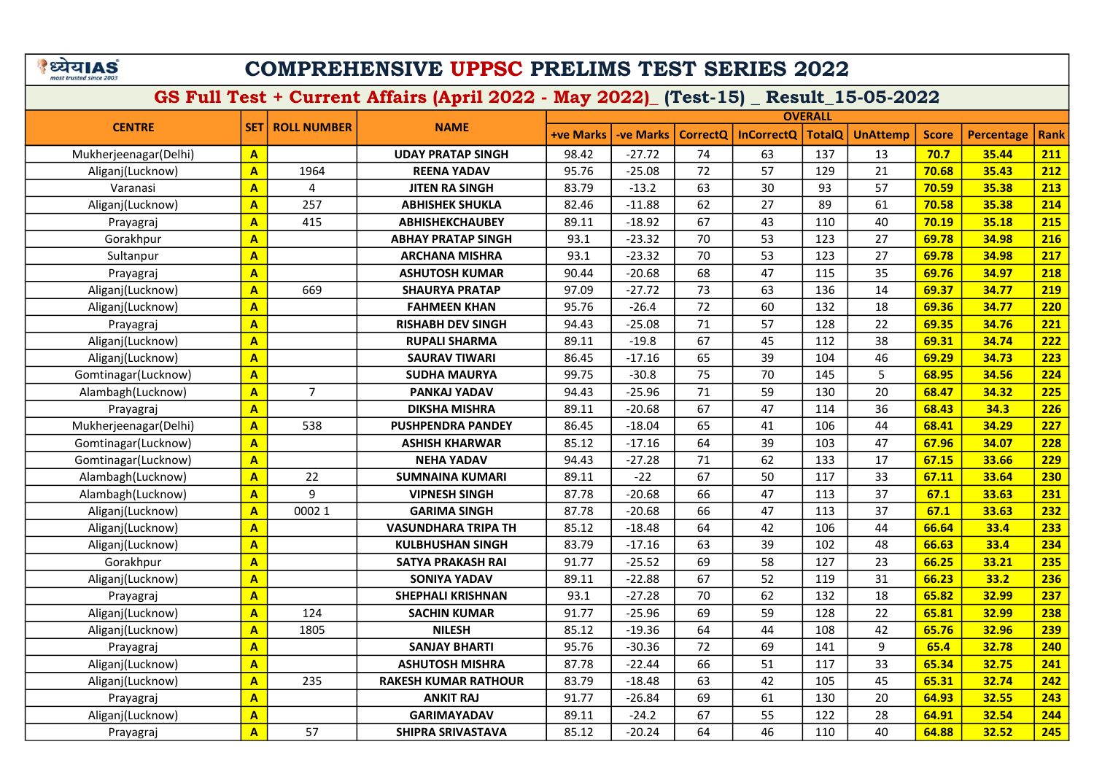#### COMPREHENSIVE UPPSC PRELIMS TEST SERIES 2022

|                       |                         |                    |                             | <b>OVERALL</b> |                 |                 |                   |               |                 |              |            |             |  |  |  |
|-----------------------|-------------------------|--------------------|-----------------------------|----------------|-----------------|-----------------|-------------------|---------------|-----------------|--------------|------------|-------------|--|--|--|
| <b>CENTRE</b>         | <b>SET</b>              | <b>ROLL NUMBER</b> | <b>NAME</b>                 | +ve Marks      | <b>ve Marks</b> | <b>CorrectQ</b> | <b>InCorrectQ</b> | <b>TotalQ</b> | <b>UnAttemp</b> | <b>Score</b> | Percentage | <b>Rank</b> |  |  |  |
| Mukherjeenagar(Delhi) | $\overline{A}$          |                    | <b>UDAY PRATAP SINGH</b>    | 98.42          | $-27.72$        | 74              | 63                | 137           | 13              | 70.7         | 35.44      | 211         |  |  |  |
| Aliganj(Lucknow)      | $\overline{\mathbf{A}}$ | 1964               | <b>REENA YADAV</b>          | 95.76          | $-25.08$        | 72              | 57                | 129           | 21              | 70.68        | 35.43      | 212         |  |  |  |
| Varanasi              | $\overline{\mathbf{A}}$ | 4                  | <b>JITEN RA SINGH</b>       | 83.79          | $-13.2$         | 63              | 30                | 93            | 57              | 70.59        | 35.38      | 213         |  |  |  |
| Aliganj(Lucknow)      | $\overline{A}$          | 257                | <b>ABHISHEK SHUKLA</b>      | 82.46          | $-11.88$        | 62              | 27                | 89            | 61              | 70.58        | 35.38      | 214         |  |  |  |
| Prayagraj             | $\overline{\mathbf{A}}$ | 415                | <b>ABHISHEKCHAUBEY</b>      | 89.11          | $-18.92$        | 67              | 43                | 110           | 40              | 70.19        | 35.18      | 215         |  |  |  |
| Gorakhpur             | $\overline{A}$          |                    | <b>ABHAY PRATAP SINGH</b>   | 93.1           | $-23.32$        | 70              | 53                | 123           | 27              | 69.78        | 34.98      | 216         |  |  |  |
| Sultanpur             | $\overline{\mathbf{A}}$ |                    | <b>ARCHANA MISHRA</b>       | 93.1           | $-23.32$        | 70              | 53                | 123           | 27              | 69.78        | 34.98      | 217         |  |  |  |
| Prayagraj             | $\overline{A}$          |                    | <b>ASHUTOSH KUMAR</b>       | 90.44          | $-20.68$        | 68              | 47                | 115           | 35              | 69.76        | 34.97      | 218         |  |  |  |
| Aliganj(Lucknow)      | $\overline{A}$          | 669                | <b>SHAURYA PRATAP</b>       | 97.09          | $-27.72$        | 73              | 63                | 136           | 14              | 69.37        | 34.77      | 219         |  |  |  |
| Aliganj(Lucknow)      | $\overline{A}$          |                    | <b>FAHMEEN KHAN</b>         | 95.76          | $-26.4$         | 72              | 60                | 132           | 18              | 69.36        | 34.77      | 220         |  |  |  |
| Prayagraj             | $\overline{A}$          |                    | <b>RISHABH DEV SINGH</b>    | 94.43          | $-25.08$        | 71              | 57                | 128           | 22              | 69.35        | 34.76      | 221         |  |  |  |
| Aliganj(Lucknow)      | $\overline{A}$          |                    | <b>RUPALI SHARMA</b>        | 89.11          | $-19.8$         | 67              | 45                | 112           | 38              | 69.31        | 34.74      | 222         |  |  |  |
| Aliganj(Lucknow)      | $\overline{A}$          |                    | <b>SAURAV TIWARI</b>        | 86.45          | $-17.16$        | 65              | 39                | 104           | 46              | 69.29        | 34.73      | 223         |  |  |  |
| Gomtinagar(Lucknow)   | $\overline{\mathbf{A}}$ |                    | <b>SUDHA MAURYA</b>         | 99.75          | $-30.8$         | 75              | 70                | 145           | 5               | 68.95        | 34.56      | 224         |  |  |  |
| Alambagh(Lucknow)     | $\overline{\mathbf{A}}$ | $\overline{7}$     | PANKAJ YADAV                | 94.43          | $-25.96$        | 71              | 59                | 130           | 20              | 68.47        | 34.32      | 225         |  |  |  |
| Prayagraj             | $\overline{\mathbf{A}}$ |                    | <b>DIKSHA MISHRA</b>        | 89.11          | $-20.68$        | 67              | 47                | 114           | 36              | 68.43        | 34.3       | 226         |  |  |  |
| Mukherjeenagar(Delhi) | $\overline{\mathbf{A}}$ | 538                | <b>PUSHPENDRA PANDEY</b>    | 86.45          | $-18.04$        | 65              | 41                | 106           | 44              | 68.41        | 34.29      | 227         |  |  |  |
| Gomtinagar(Lucknow)   | $\overline{\mathbf{A}}$ |                    | <b>ASHISH KHARWAR</b>       | 85.12          | $-17.16$        | 64              | 39                | 103           | 47              | 67.96        | 34.07      | 228         |  |  |  |
| Gomtinagar(Lucknow)   | $\overline{\mathbf{A}}$ |                    | <b>NEHA YADAV</b>           | 94.43          | $-27.28$        | 71              | 62                | 133           | 17              | 67.15        | 33.66      | <b>229</b>  |  |  |  |
| Alambagh(Lucknow)     | $\overline{\mathbf{A}}$ | 22                 | <b>SUMNAINA KUMARI</b>      | 89.11          | $-22$           | 67              | 50                | 117           | 33              | 67.11        | 33.64      | 230         |  |  |  |
| Alambagh(Lucknow)     | $\overline{\mathbf{A}}$ | 9                  | <b>VIPNESH SINGH</b>        | 87.78          | $-20.68$        | 66              | 47                | 113           | 37              | 67.1         | 33.63      | 231         |  |  |  |
| Aliganj(Lucknow)      | $\overline{A}$          | 0002 1             | <b>GARIMA SINGH</b>         | 87.78          | $-20.68$        | 66              | 47                | 113           | 37              | 67.1         | 33.63      | 232         |  |  |  |
| Aliganj(Lucknow)      | $\overline{\mathbf{A}}$ |                    | <b>VASUNDHARA TRIPA TH</b>  | 85.12          | $-18.48$        | 64              | 42                | 106           | 44              | 66.64        | 33.4       | 233         |  |  |  |
| Aliganj(Lucknow)      | $\overline{\mathbf{A}}$ |                    | <b>KULBHUSHAN SINGH</b>     | 83.79          | $-17.16$        | 63              | 39                | 102           | 48              | 66.63        | 33.4       | 234         |  |  |  |
| Gorakhpur             | $\overline{\mathbf{A}}$ |                    | <b>SATYA PRAKASH RAI</b>    | 91.77          | $-25.52$        | 69              | 58                | 127           | 23              | 66.25        | 33.21      | 235         |  |  |  |
| Aliganj(Lucknow)      | $\overline{\mathbf{A}}$ |                    | <b>SONIYA YADAV</b>         | 89.11          | $-22.88$        | 67              | 52                | 119           | 31              | 66.23        | 33.2       | 236         |  |  |  |
| Prayagraj             | $\overline{\mathbf{A}}$ |                    | <b>SHEPHALI KRISHNAN</b>    | 93.1           | $-27.28$        | 70              | 62                | 132           | 18              | 65.82        | 32.99      | 237         |  |  |  |
| Aliganj(Lucknow)      | $\overline{A}$          | 124                | <b>SACHIN KUMAR</b>         | 91.77          | $-25.96$        | 69              | 59                | 128           | 22              | 65.81        | 32.99      | 238         |  |  |  |
| Aliganj(Lucknow)      | $\overline{\mathbf{A}}$ | 1805               | <b>NILESH</b>               | 85.12          | $-19.36$        | 64              | 44                | 108           | 42              | 65.76        | 32.96      | 239         |  |  |  |
| Prayagraj             | $\overline{\mathbf{A}}$ |                    | <b>SANJAY BHARTI</b>        | 95.76          | $-30.36$        | 72              | 69                | 141           | 9               | 65.4         | 32.78      | 240         |  |  |  |
| Aliganj(Lucknow)      | $\overline{\mathbf{A}}$ |                    | <b>ASHUTOSH MISHRA</b>      | 87.78          | $-22.44$        | 66              | 51                | 117           | 33              | 65.34        | 32.75      | 241         |  |  |  |
| Aliganj(Lucknow)      | $\overline{\mathbf{A}}$ | 235                | <b>RAKESH KUMAR RATHOUR</b> | 83.79          | $-18.48$        | 63              | 42                | 105           | 45              | 65.31        | 32.74      | 242         |  |  |  |
| Prayagraj             | $\overline{\mathbf{A}}$ |                    | <b>ANKIT RAJ</b>            | 91.77          | $-26.84$        | 69              | 61                | 130           | 20              | 64.93        | 32.55      | 243         |  |  |  |
| Aliganj(Lucknow)      | $\overline{\mathbf{A}}$ |                    | <b>GARIMAYADAV</b>          | 89.11          | $-24.2$         | 67              | 55                | 122           | 28              | 64.91        | 32.54      | 244         |  |  |  |
| Prayagraj             | $\overline{A}$          | 57                 | SHIPRA SRIVASTAVA           | 85.12          | $-20.24$        | 64              | 46                | 110           | 40              | 64.88        | 32.52      | 245         |  |  |  |
|                       |                         |                    |                             |                |                 |                 |                   |               |                 |              |            |             |  |  |  |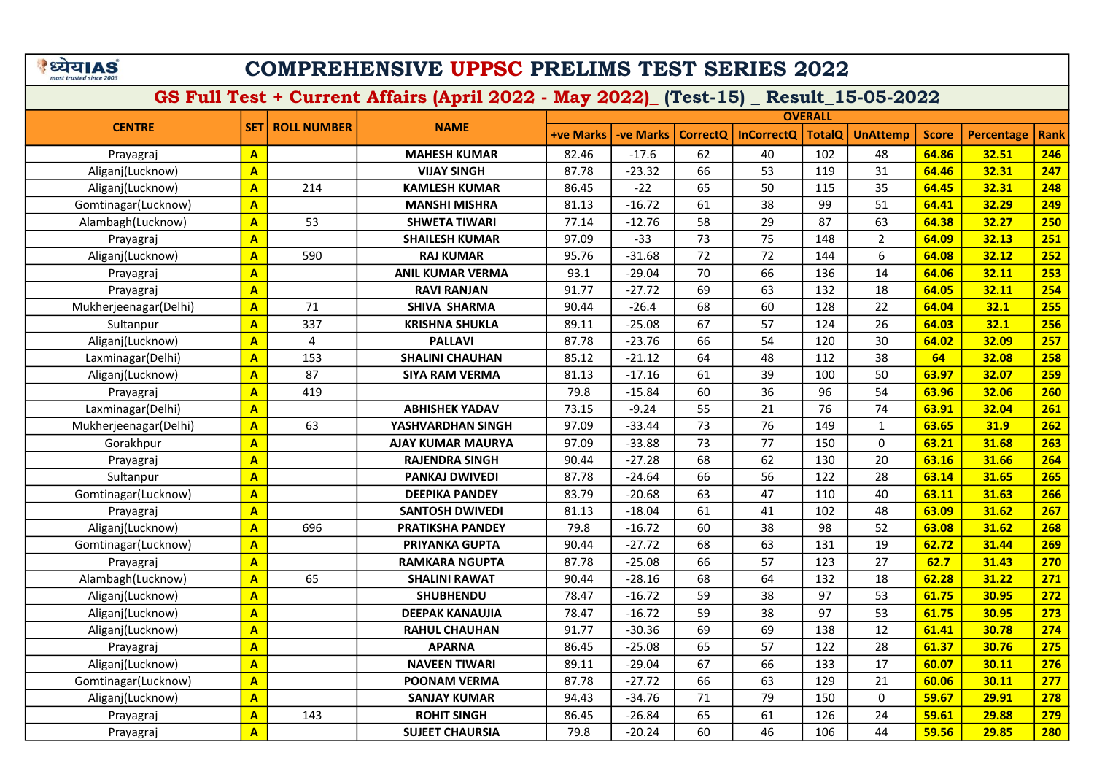#### COMPREHENSIVE UPPSC PRELIMS TEST SERIES 2022

|                       |                         |                    |                          | <b>OVERALL</b>   |           |          |                   |               |                 |              |                   |             |
|-----------------------|-------------------------|--------------------|--------------------------|------------------|-----------|----------|-------------------|---------------|-----------------|--------------|-------------------|-------------|
| <b>CENTRE</b>         | <b>SET</b>              | <b>ROLL NUMBER</b> | <b>NAME</b>              | <b>+ve Marks</b> | -ve Marks | CorrectQ | <b>InCorrectQ</b> | <b>TotalQ</b> | <b>UnAttemp</b> | <b>Score</b> | <b>Percentage</b> | <b>Rank</b> |
| Prayagraj             | $\mathbf{A}$            |                    | <b>MAHESH KUMAR</b>      | 82.46            | $-17.6$   | 62       | 40                | 102           | 48              | 64.86        | 32.51             | 246         |
| Aliganj(Lucknow)      | $\overline{\mathbf{A}}$ |                    | <b>VIJAY SINGH</b>       | 87.78            | $-23.32$  | 66       | 53                | 119           | 31              | 64.46        | 32.31             | 247         |
| Aliganj(Lucknow)      | $\overline{\mathbf{A}}$ | 214                | <b>KAMLESH KUMAR</b>     | 86.45            | $-22$     | 65       | 50                | 115           | 35              | 64.45        | 32.31             | 248         |
| Gomtinagar(Lucknow)   | $\mathbf{A}$            |                    | <b>MANSHI MISHRA</b>     | 81.13            | $-16.72$  | 61       | 38                | 99            | 51              | 64.41        | 32.29             | 249         |
| Alambagh(Lucknow)     | $\overline{\mathbf{A}}$ | 53                 | <b>SHWETA TIWARI</b>     | 77.14            | $-12.76$  | 58       | 29                | 87            | 63              | 64.38        | 32.27             | 250         |
| Prayagraj             | $\overline{\mathbf{A}}$ |                    | <b>SHAILESH KUMAR</b>    | 97.09            | $-33$     | 73       | 75                | 148           | $\overline{2}$  | 64.09        | 32.13             | 251         |
| Aliganj(Lucknow)      | $\mathbf{A}$            | 590                | <b>RAJ KUMAR</b>         | 95.76            | $-31.68$  | 72       | 72                | 144           | 6               | 64.08        | 32.12             | 252         |
| Prayagraj             | $\overline{\mathbf{A}}$ |                    | <b>ANIL KUMAR VERMA</b>  | 93.1             | $-29.04$  | 70       | 66                | 136           | 14              | 64.06        | 32.11             | 253         |
| Prayagraj             | $\overline{\mathbf{A}}$ |                    | <b>RAVI RANJAN</b>       | 91.77            | $-27.72$  | 69       | 63                | 132           | 18              | 64.05        | 32.11             | 254         |
| Mukherjeenagar(Delhi) | $\mathbf{A}$            | 71                 | SHIVA SHARMA             | 90.44            | $-26.4$   | 68       | 60                | 128           | 22              | 64.04        | 32.1              | 255         |
| Sultanpur             | $\overline{\mathbf{A}}$ | 337                | <b>KRISHNA SHUKLA</b>    | 89.11            | $-25.08$  | 67       | 57                | 124           | 26              | 64.03        | 32.1              | 256         |
| Aliganj(Lucknow)      | $\overline{\mathbf{A}}$ | 4                  | <b>PALLAVI</b>           | 87.78            | $-23.76$  | 66       | 54                | 120           | 30              | 64.02        | 32.09             | 257         |
| Laxminagar(Delhi)     | $\mathbf{A}$            | 153                | <b>SHALINI CHAUHAN</b>   | 85.12            | $-21.12$  | 64       | 48                | 112           | 38              | 64           | 32.08             | 258         |
| Aliganj(Lucknow)      | $\overline{\mathbf{A}}$ | 87                 | <b>SIYA RAM VERMA</b>    | 81.13            | $-17.16$  | 61       | 39                | 100           | 50              | 63.97        | 32.07             | 259         |
| Prayagraj             | $\mathbf{A}$            | 419                |                          | 79.8             | $-15.84$  | 60       | 36                | 96            | 54              | 63.96        | 32.06             | 260         |
| Laxminagar(Delhi)     | $\mathbf{A}$            |                    | <b>ABHISHEK YADAV</b>    | 73.15            | $-9.24$   | 55       | 21                | 76            | 74              | 63.91        | 32.04             | 261         |
| Mukherjeenagar(Delhi) | $\overline{\mathbf{A}}$ | 63                 | YASHVARDHAN SINGH        | 97.09            | $-33.44$  | 73       | 76                | 149           | $\mathbf{1}$    | 63.65        | 31.9              | 262         |
| Gorakhpur             | $\mathbf{A}$            |                    | <b>AJAY KUMAR MAURYA</b> | 97.09            | $-33.88$  | 73       | 77                | 150           | $\mathbf 0$     | 63.21        | 31.68             | 263         |
| Prayagraj             | $\overline{\mathbf{A}}$ |                    | <b>RAJENDRA SINGH</b>    | 90.44            | $-27.28$  | 68       | 62                | 130           | 20              | 63.16        | 31.66             | 264         |
| Sultanpur             | $\mathbf{A}$            |                    | <b>PANKAJ DWIVEDI</b>    | 87.78            | $-24.64$  | 66       | 56                | 122           | 28              | 63.14        | 31.65             | 265         |
| Gomtinagar(Lucknow)   | $\overline{\mathbf{A}}$ |                    | <b>DEEPIKA PANDEY</b>    | 83.79            | $-20.68$  | 63       | 47                | 110           | 40              | 63.11        | 31.63             | 266         |
| Prayagraj             | $\mathbf{A}$            |                    | <b>SANTOSH DWIVEDI</b>   | 81.13            | $-18.04$  | 61       | 41                | 102           | 48              | 63.09        | 31.62             | 267         |
| Aliganj(Lucknow)      | $\overline{\mathbf{A}}$ | 696                | <b>PRATIKSHA PANDEY</b>  | 79.8             | $-16.72$  | 60       | 38                | 98            | 52              | 63.08        | 31.62             | 268         |
| Gomtinagar(Lucknow)   | $\mathbf{A}$            |                    | <b>PRIYANKA GUPTA</b>    | 90.44            | $-27.72$  | 68       | 63                | 131           | 19              | 62.72        | 31.44             | 269         |
| Prayagraj             | $\overline{\mathsf{A}}$ |                    | <b>RAMKARA NGUPTA</b>    | 87.78            | $-25.08$  | 66       | 57                | 123           | 27              | 62.7         | 31.43             | 270         |
| Alambagh(Lucknow)     | $\overline{\mathbf{A}}$ | 65                 | <b>SHALINI RAWAT</b>     | 90.44            | $-28.16$  | 68       | 64                | 132           | 18              | 62.28        | 31.22             | 271         |
| Aliganj(Lucknow)      | $\overline{\mathbf{A}}$ |                    | <b>SHUBHENDU</b>         | 78.47            | $-16.72$  | 59       | 38                | 97            | 53              | 61.75        | 30.95             | 272         |
| Aliganj(Lucknow)      | $\overline{\mathbf{A}}$ |                    | <b>DEEPAK KANAUJIA</b>   | 78.47            | $-16.72$  | 59       | 38                | 97            | 53              | 61.75        | 30.95             | 273         |
| Aliganj(Lucknow)      | $\overline{\mathbf{A}}$ |                    | <b>RAHUL CHAUHAN</b>     | 91.77            | $-30.36$  | 69       | 69                | 138           | 12              | 61.41        | 30.78             | 274         |
| Prayagraj             | $\overline{A}$          |                    | <b>APARNA</b>            | 86.45            | $-25.08$  | 65       | 57                | 122           | 28              | 61.37        | 30.76             | 275         |
| Aliganj(Lucknow)      | $\overline{\mathbf{A}}$ |                    | <b>NAVEEN TIWARI</b>     | 89.11            | $-29.04$  | 67       | 66                | 133           | 17              | 60.07        | 30.11             | 276         |
| Gomtinagar(Lucknow)   | $\overline{\mathbf{A}}$ |                    | <b>POONAM VERMA</b>      | 87.78            | $-27.72$  | 66       | 63                | 129           | 21              | 60.06        | 30.11             | 277         |
| Aliganj(Lucknow)      | $\mathbf{A}$            |                    | <b>SANJAY KUMAR</b>      | 94.43            | $-34.76$  | 71       | 79                | 150           | $\mathbf 0$     | 59.67        | 29.91             | 278         |
| Prayagraj             | $\overline{\mathbf{A}}$ | 143                | <b>ROHIT SINGH</b>       | 86.45            | $-26.84$  | 65       | 61                | 126           | 24              | 59.61        | 29.88             | 279         |
| Prayagraj             | $\mathbf{A}$            |                    | <b>SUJEET CHAURSIA</b>   | 79.8             | $-20.24$  | 60       | 46                | 106           | 44              | 59.56        | 29.85             | 280         |
|                       |                         |                    |                          |                  |           |          |                   |               |                 |              |                   |             |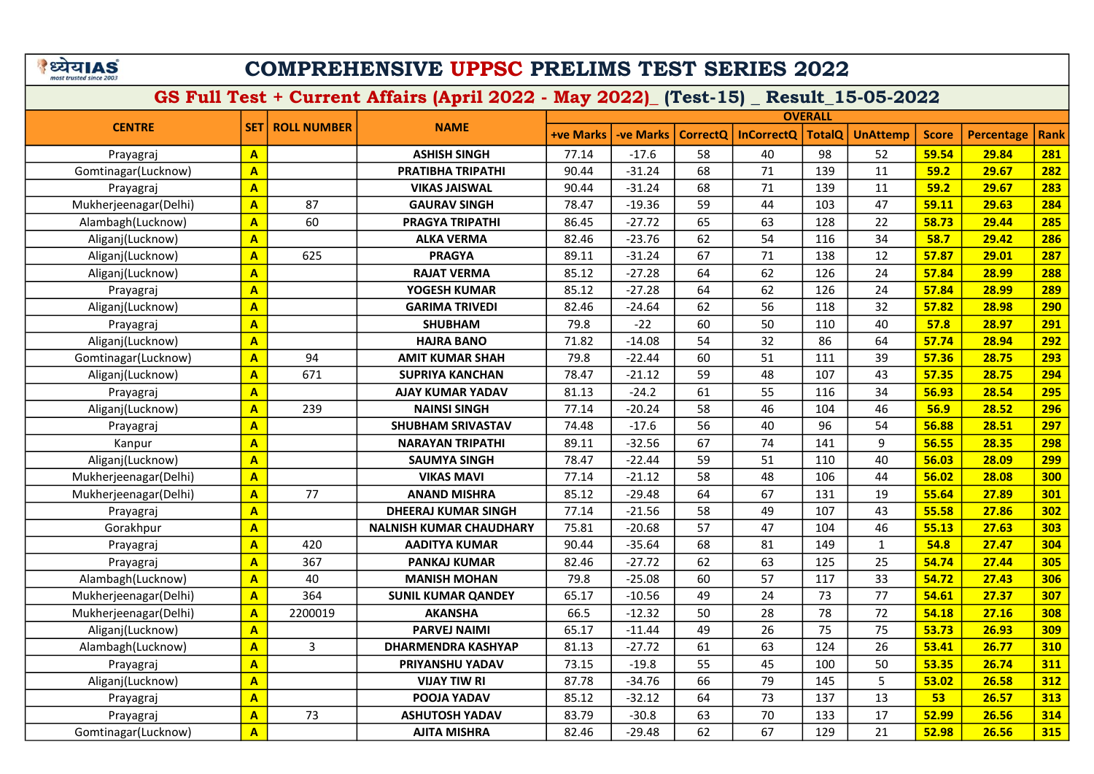|                         | ETIA! | 5) |
|-------------------------|-------|----|
| most trusted since 2003 |       |    |

|                       |                         |                          |                                |           |                  |                 | <b>OVERALL</b>    |               |                 |              |                   |             |  |
|-----------------------|-------------------------|--------------------------|--------------------------------|-----------|------------------|-----------------|-------------------|---------------|-----------------|--------------|-------------------|-------------|--|
| <b>CENTRE</b>         |                         | <b>SET   ROLL NUMBER</b> | <b>NAME</b>                    | +ve Marks | <b>-ve Marks</b> | <b>CorrectQ</b> | <b>InCorrectQ</b> | <b>TotalQ</b> | <b>UnAttemp</b> | <b>Score</b> | <b>Percentage</b> | <b>Rank</b> |  |
| Prayagraj             | $\overline{A}$          |                          | <b>ASHISH SINGH</b>            | 77.14     | $-17.6$          | 58              | 40                | 98            | 52              | 59.54        | 29.84             | 281         |  |
| Gomtinagar(Lucknow)   | $\overline{\mathbf{A}}$ |                          | PRATIBHA TRIPATHI              | 90.44     | $-31.24$         | 68              | 71                | 139           | 11              | 59.2         | 29.67             | 282         |  |
| Prayagraj             | $\overline{\mathsf{A}}$ |                          | <b>VIKAS JAISWAL</b>           | 90.44     | $-31.24$         | 68              | 71                | 139           | 11              | 59.2         | 29.67             | 283         |  |
| Mukherjeenagar(Delhi) | $\overline{\mathbf{A}}$ | 87                       | <b>GAURAV SINGH</b>            | 78.47     | $-19.36$         | 59              | 44                | 103           | 47              | 59.11        | 29.63             | 284         |  |
| Alambagh(Lucknow)     | A                       | 60                       | <b>PRAGYA TRIPATHI</b>         | 86.45     | $-27.72$         | 65              | 63                | 128           | 22              | 58.73        | 29.44             | 285         |  |
| Aliganj(Lucknow)      | $\mathbf{A}$            |                          | <b>ALKA VERMA</b>              | 82.46     | $-23.76$         | 62              | 54                | 116           | 34              | 58.7         | 29.42             | 286         |  |
| Aliganj(Lucknow)      | $\mathbf{A}$            | 625                      | <b>PRAGYA</b>                  | 89.11     | $-31.24$         | 67              | 71                | 138           | 12              | 57.87        | 29.01             | 287         |  |
| Aliganj(Lucknow)      | $\overline{\mathsf{A}}$ |                          | <b>RAJAT VERMA</b>             | 85.12     | $-27.28$         | 64              | 62                | 126           | 24              | 57.84        | 28.99             | 288         |  |
| Prayagraj             | $\mathbf{A}$            |                          | YOGESH KUMAR                   | 85.12     | $-27.28$         | 64              | 62                | 126           | 24              | 57.84        | 28.99             | 289         |  |
| Aliganj(Lucknow)      | $\mathbf{A}$            |                          | <b>GARIMA TRIVEDI</b>          | 82.46     | $-24.64$         | 62              | 56                | 118           | 32              | 57.82        | 28.98             | 290         |  |
| Prayagraj             | $\overline{\mathbf{A}}$ |                          | <b>SHUBHAM</b>                 | 79.8      | $-22$            | 60              | 50                | 110           | 40              | 57.8         | 28.97             | 291         |  |
| Aliganj(Lucknow)      | $\mathbf{A}$            |                          | <b>HAJRA BANO</b>              | 71.82     | $-14.08$         | 54              | 32                | 86            | 64              | 57.74        | 28.94             | 292         |  |
| Gomtinagar(Lucknow)   | $\mathbf{A}$            | 94                       | <b>AMIT KUMAR SHAH</b>         | 79.8      | $-22.44$         | 60              | 51                | 111           | 39              | 57.36        | 28.75             | 293         |  |
| Aliganj(Lucknow)      | $\overline{\mathbf{A}}$ | 671                      | <b>SUPRIYA KANCHAN</b>         | 78.47     | $-21.12$         | 59              | 48                | 107           | 43              | 57.35        | 28.75             | 294         |  |
| Prayagraj             | $\mathbf{A}$            |                          | <b>AJAY KUMAR YADAV</b>        | 81.13     | $-24.2$          | 61              | 55                | 116           | 34              | 56.93        | 28.54             | 295         |  |
| Aliganj(Lucknow)      | $\mathbf{A}$            | 239                      | <b>NAINSI SINGH</b>            | 77.14     | $-20.24$         | 58              | 46                | 104           | 46              | 56.9         | 28.52             | 296         |  |
| Prayagraj             | $\mathbf{A}$            |                          | <b>SHUBHAM SRIVASTAV</b>       | 74.48     | $-17.6$          | 56              | 40                | 96            | 54              | 56.88        | 28.51             | 297         |  |
| Kanpur                | $\mathbf{A}$            |                          | <b>NARAYAN TRIPATHI</b>        | 89.11     | $-32.56$         | 67              | 74                | 141           | 9               | 56.55        | 28.35             | <b>298</b>  |  |
| Aliganj(Lucknow)      | $\mathbf{A}$            |                          | <b>SAUMYA SINGH</b>            | 78.47     | $-22.44$         | 59              | 51                | 110           | 40              | 56.03        | 28.09             | <b>299</b>  |  |
| Mukherjeenagar(Delhi) | $\mathbf{A}$            |                          | <b>VIKAS MAVI</b>              | 77.14     | $-21.12$         | 58              | 48                | 106           | 44              | 56.02        | 28.08             | 300         |  |
| Mukherjeenagar(Delhi) | $\mathbf{A}$            | 77                       | <b>ANAND MISHRA</b>            | 85.12     | $-29.48$         | 64              | 67                | 131           | 19              | 55.64        | 27.89             | 301         |  |
| Prayagraj             | $\overline{\mathbf{A}}$ |                          | <b>DHEERAJ KUMAR SINGH</b>     | 77.14     | $-21.56$         | 58              | 49                | 107           | 43              | 55.58        | 27.86             | <b>302</b>  |  |
| Gorakhpur             | $\mathbf{A}$            |                          | <b>NALNISH KUMAR CHAUDHARY</b> | 75.81     | $-20.68$         | 57              | 47                | 104           | 46              | 55.13        | 27.63             | 303         |  |
| Prayagraj             | $\mathbf{A}$            | 420                      | <b>AADITYA KUMAR</b>           | 90.44     | $-35.64$         | 68              | 81                | 149           | $\mathbf{1}$    | 54.8         | 27.47             | 304         |  |
| Prayagraj             | $\mathbf{A}$            | 367                      | <b>PANKAJ KUMAR</b>            | 82.46     | $-27.72$         | 62              | 63                | 125           | 25              | 54.74        | 27.44             | 305         |  |
| Alambagh(Lucknow)     | $\mathbf{A}$            | 40                       | <b>MANISH MOHAN</b>            | 79.8      | $-25.08$         | 60              | 57                | 117           | 33              | 54.72        | 27.43             | 306         |  |
| Mukherjeenagar(Delhi) | $\overline{A}$          | 364                      | <b>SUNIL KUMAR QANDEY</b>      | 65.17     | $-10.56$         | 49              | 24                | 73            | 77              | 54.61        | 27.37             | 307         |  |
| Mukherjeenagar(Delhi) | $\overline{A}$          | 2200019                  | <b>AKANSHA</b>                 | 66.5      | $-12.32$         | 50              | 28                | 78            | 72              | 54.18        | 27.16             | 308         |  |
| Aliganj(Lucknow)      | $\overline{A}$          |                          | <b>PARVEJ NAIMI</b>            | 65.17     | $-11.44$         | 49              | 26                | 75            | 75              | 53.73        | 26.93             | 309         |  |
| Alambagh(Lucknow)     | $\overline{\mathbf{A}}$ | 3                        | <b>DHARMENDRA KASHYAP</b>      | 81.13     | $-27.72$         | 61              | 63                | 124           | 26              | 53.41        | 26.77             | 310         |  |
| Prayagraj             | $\overline{\mathbf{A}}$ |                          | PRIYANSHU YADAV                | 73.15     | $-19.8$          | 55              | 45                | 100           | 50              | 53.35        | 26.74             | 311         |  |
| Aliganj(Lucknow)      | $\overline{A}$          |                          | <b>VIJAY TIW RI</b>            | 87.78     | $-34.76$         | 66              | 79                | 145           | 5               | 53.02        | 26.58             | 312         |  |
| Prayagraj             | $\mathbf{A}$            |                          | POOJA YADAV                    | 85.12     | $-32.12$         | 64              | 73                | 137           | 13              | 53           | 26.57             | 313         |  |
| Prayagraj             | $\overline{\mathbf{A}}$ | 73                       | <b>ASHUTOSH YADAV</b>          | 83.79     | $-30.8$          | 63              | 70                | 133           | 17              | 52.99        | 26.56             | 314         |  |
| Gomtinagar(Lucknow)   | $\mathbf{A}$            |                          | <b>AJITA MISHRA</b>            | 82.46     | $-29.48$         | 62              | 67                | 129           | 21              | 52.98        | 26.56             | 315         |  |
|                       |                         |                          |                                |           |                  |                 |                   |               |                 |              |                   |             |  |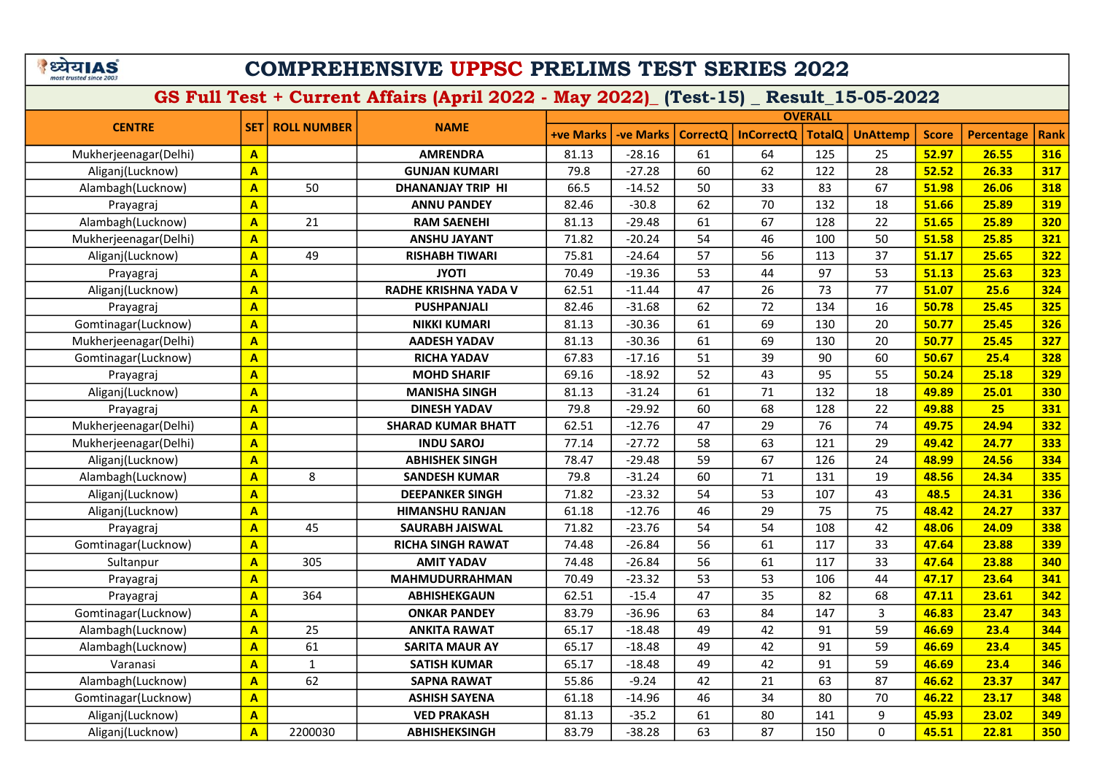|                         | ाया∆ | 51 |
|-------------------------|------|----|
| most trusted since 2003 |      |    |

| <b>CENTRE</b><br><b>SET   ROLL NUMBER</b><br><b>NAME</b><br><b>TotalQ</b><br>+ve Marks<br>-ve Marks<br><b>CorrectQ</b><br><b>InCorrectQ</b><br><b>UnAttemp</b> |              |                   |             |
|----------------------------------------------------------------------------------------------------------------------------------------------------------------|--------------|-------------------|-------------|
|                                                                                                                                                                | <b>Score</b> | <b>Percentage</b> | <b>Rank</b> |
| 125<br>25<br><b>AMRENDRA</b><br>$-28.16$<br>61<br>64<br>Mukherjeenagar(Delhi)<br>81.13<br>$\mathbf{A}$                                                         | 52.97        | 26.55             | 316         |
| 28<br>60<br>62<br>79.8<br>$-27.28$<br>122<br>Aliganj(Lucknow)<br><b>GUNJAN KUMARI</b><br>$\mathbf{A}$                                                          | 52.52        | 26.33             | 317         |
| 50<br>50<br>67<br>66.5<br>$-14.52$<br>33<br>83<br>Alambagh(Lucknow)<br><b>DHANANJAY TRIP HI</b><br>$\overline{\mathbf{A}}$                                     | 51.98        | 26.06             | 318         |
| 70<br>$-30.8$<br>62<br>132<br>18<br>82.46<br>$\mathbf{A}$<br><b>ANNU PANDEY</b><br>Prayagraj                                                                   | 51.66        | 25.89             | 319         |
| 21<br>61<br>67<br>22<br>Alambagh(Lucknow)<br>$-29.48$<br>128<br>$\mathbf{A}$<br><b>RAM SAENEHI</b><br>81.13                                                    | 51.65        | 25.89             | 320         |
| $-20.24$<br>54<br>46<br>50<br>Mukherjeenagar(Delhi)<br><b>ANSHU JAYANT</b><br>71.82<br>100<br>$\mathbf{A}$                                                     | 51.58        | 25.85             | 321         |
| 49<br>57<br>56<br>37<br>75.81<br>$-24.64$<br>113<br>Aliganj(Lucknow)<br>$\mathbf{A}$<br><b>RISHABH TIWARI</b>                                                  | 51.17        | 25.65             | 322         |
| 53<br>$-19.36$<br>53<br>44<br>97<br>$\overline{A}$<br><b>JYOTI</b><br>70.49<br>Prayagraj                                                                       | 51.13        | 25.63             | 323         |
| 77<br>47<br>26<br>73<br>$\overline{\mathbf{A}}$<br><b>RADHE KRISHNA YADA V</b><br>62.51<br>$-11.44$<br>Aliganj(Lucknow)                                        | 51.07        | 25.6              | 324         |
| $-31.68$<br>62<br>72<br>134<br>16<br>$\mathbf{A}$<br><b>PUSHPANJALI</b><br>82.46<br>Prayagraj                                                                  | 50.78        | 25.45             | <b>325</b>  |
| 61<br>69<br>20<br>Gomtinagar(Lucknow)<br>$\overline{A}$<br><b>NIKKI KUMARI</b><br>81.13<br>$-30.36$<br>130                                                     | 50.77        | 25.45             | 326         |
| 69<br>Mukherjeenagar(Delhi)<br><b>AADESH YADAV</b><br>$-30.36$<br>61<br>20<br>$\mathbf{A}$<br>81.13<br>130                                                     | 50.77        | 25.45             | 327         |
| 39<br>67.83<br>51<br>60<br>$\mathbf{A}$<br>$-17.16$<br>90<br>Gomtinagar(Lucknow)<br><b>RICHA YADAV</b>                                                         | 50.67        | 25.4              | 328         |
| 52<br>55<br>69.16<br>$-18.92$<br>43<br>95<br>$\mathbf{A}$<br><b>MOHD SHARIF</b><br>Prayagraj                                                                   | 50.24        | 25.18             | 329         |
| 61<br>132<br>18<br>$-31.24$<br>71<br>Aliganj(Lucknow)<br>$\mathbf{A}$<br><b>MANISHA SINGH</b><br>81.13                                                         | 49.89        | 25.01             | 330         |
| 79.8<br>60<br>68<br>22<br>$\mathbf{A}$<br><b>DINESH YADAV</b><br>$-29.92$<br>128<br>Prayagraj                                                                  | 49.88        | 25                | 331         |
| 74<br>29<br>76<br>$\mathbf{A}$<br>62.51<br>$-12.76$<br>47<br>Mukherjeenagar(Delhi)<br><b>SHARAD KUMAR BHATT</b>                                                | 49.75        | 24.94             | 332         |
| $-27.72$<br>58<br>63<br>29<br>Mukherjeenagar(Delhi)<br><b>INDU SAROJ</b><br>77.14<br>121<br>$\mathbf{A}$                                                       | 49.42        | 24.77             | 333         |
| 67<br>59<br>24<br>$\overline{A}$<br>78.47<br>$-29.48$<br>126<br>Aliganj(Lucknow)<br><b>ABHISHEK SINGH</b>                                                      | 48.99        | 24.56             | 334         |
| 8<br>79.8<br>$-31.24$<br>60<br>71<br>131<br>19<br>Alambagh(Lucknow)<br>$\mathbf{A}$<br><b>SANDESH KUMAR</b>                                                    | 48.56        | 24.34             | 335         |
| $-23.32$<br>54<br>53<br>107<br>43<br>Aliganj(Lucknow)<br>$\mathbf{A}$<br>71.82<br><b>DEEPANKER SINGH</b>                                                       | 48.5         | 24.31             | 336         |
| 29<br>75<br>Aliganj(Lucknow)<br>$\overline{A}$<br>61.18<br>$-12.76$<br>46<br>75<br><b>HIMANSHU RANJAN</b>                                                      | 48.42        | 24.27             | 337         |
| $\overline{\mathbf{A}}$<br>45<br>71.82<br>$-23.76$<br>54<br>54<br>108<br>42<br>Prayagraj<br>SAURABH JAISWAL                                                    | 48.06        | 24.09             | 338         |
| 74.48<br>56<br>61<br>33<br>Gomtinagar(Lucknow)<br>$\mathbf{A}$<br>$-26.84$<br>117<br><b>RICHA SINGH RAWAT</b>                                                  | 47.64        | 23.88             | 339         |
| 56<br>$\overline{A}$<br>305<br>74.48<br>$-26.84$<br>61<br>117<br>33<br>Sultanpur<br><b>AMIT YADAV</b>                                                          | 47.64        | 23.88             | 340         |
| $-23.32$<br>53<br>53<br>106<br>44<br>$\mathbf{A}$<br><b>MAHMUDURRAHMAN</b><br>70.49<br>Prayagraj                                                               | 47.17        | 23.64             | 341         |
| 35<br>62.51<br>$-15.4$<br>47<br>82<br>68<br>364<br><b>ABHISHEKGAUN</b><br>Prayagraj<br>$\overline{A}$                                                          | 47.11        | 23.61             | 342         |
| 83.79<br>$-36.96$<br>63<br>84<br>147<br>3<br>Gomtinagar(Lucknow)<br>$\mathbf{A}$<br><b>ONKAR PANDEY</b>                                                        | 46.83        | 23.47             | 343         |
| 25<br>65.17<br>$-18.48$<br>49<br>42<br>91<br>59<br>Alambagh(Lucknow)<br><b>ANKITA RAWAT</b><br>$\overline{\mathbf{A}}$                                         | 46.69        | 23.4              | 344         |
| 61<br>59<br>Alambagh(Lucknow)<br>65.17<br>$-18.48$<br>49<br>42<br>91<br>$\overline{A}$<br><b>SARITA MAUR AY</b>                                                | 46.69        | 23.4              | 345         |
| $\mathbf{1}$<br>65.17<br>49<br>42<br>59<br>$-18.48$<br>91<br>Varanasi<br>$\overline{A}$<br><b>SATISH KUMAR</b>                                                 | 46.69        | 23.4              | 346         |
| 62<br>87<br>55.86<br>$-9.24$<br>42<br>21<br>63<br>Alambagh(Lucknow)<br>$\mathbf{A}$<br><b>SAPNA RAWAT</b>                                                      | 46.62        | 23.37             | 347         |
| 61.18<br>46<br>34<br>80<br>70<br><b>ASHISH SAYENA</b><br>$-14.96$<br>Gomtinagar(Lucknow)<br>$\mathbf{A}$                                                       | 46.22        | 23.17             | 348         |
| $-35.2$<br>61<br>80<br>9<br><b>VED PRAKASH</b><br>81.13<br>141<br>Aliganj(Lucknow)<br>$\overline{\mathsf{A}}$                                                  | 45.93        | 23.02             | 349         |
| 87<br>83.79<br>$-38.28$<br>63<br>150<br>$\Omega$<br>Aliganj(Lucknow)<br>A<br>2200030<br><b>ABHISHEKSINGH</b>                                                   | 45.51        | 22.81             | 350         |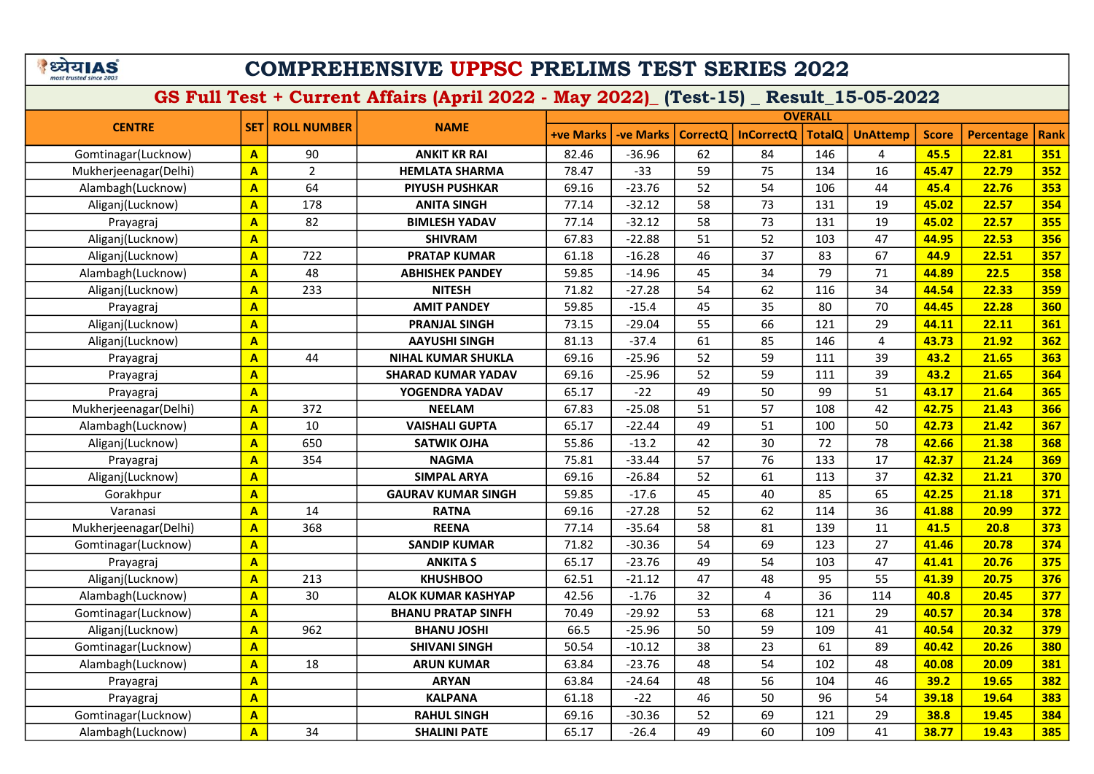#### COMPREHENSIVE UPPSC PRELIMS TEST SERIES 2022

|                       |                         |                    | <b>OVERALL</b>            |                  |           |                 |                   |               |                 |              |                   |             |
|-----------------------|-------------------------|--------------------|---------------------------|------------------|-----------|-----------------|-------------------|---------------|-----------------|--------------|-------------------|-------------|
| <b>CENTRE</b>         | <b>SET</b>              | <b>ROLL NUMBER</b> | <b>NAME</b>               | <b>+ve Marks</b> | -ve Marks | <b>CorrectQ</b> | <b>InCorrectQ</b> | <b>TotalQ</b> | <b>UnAttemp</b> | <b>Score</b> | <b>Percentage</b> | <b>Rank</b> |
| Gomtinagar(Lucknow)   | $\mathbf{A}$            | 90                 | <b>ANKIT KR RAI</b>       | 82.46            | $-36.96$  | 62              | 84                | 146           | 4               | 45.5         | 22.81             | 351         |
| Mukherjeenagar(Delhi) | $\mathbf{A}$            | $\overline{2}$     | <b>HEMLATA SHARMA</b>     | 78.47            | $-33$     | 59              | 75                | 134           | 16              | 45.47        | 22.79             | 352         |
| Alambagh(Lucknow)     | $\mathbf{A}$            | 64                 | <b>PIYUSH PUSHKAR</b>     | 69.16            | $-23.76$  | 52              | 54                | 106           | 44              | 45.4         | 22.76             | 353         |
| Aliganj(Lucknow)      | $\mathbf{A}$            | 178                | <b>ANITA SINGH</b>        | 77.14            | $-32.12$  | 58              | 73                | 131           | 19              | 45.02        | 22.57             | 354         |
| Prayagraj             | $\overline{\mathbf{A}}$ | 82                 | <b>BIMLESH YADAV</b>      | 77.14            | $-32.12$  | 58              | 73                | 131           | 19              | 45.02        | 22.57             | 355         |
| Aliganj(Lucknow)      | $\overline{\mathbf{A}}$ |                    | <b>SHIVRAM</b>            | 67.83            | $-22.88$  | 51              | 52                | 103           | 47              | 44.95        | 22.53             | 356         |
| Aliganj(Lucknow)      | $\mathbf{A}$            | 722                | <b>PRATAP KUMAR</b>       | 61.18            | $-16.28$  | 46              | 37                | 83            | 67              | 44.9         | 22.51             | 357         |
| Alambagh(Lucknow)     | $\overline{\mathbf{A}}$ | 48                 | <b>ABHISHEK PANDEY</b>    | 59.85            | $-14.96$  | 45              | 34                | 79            | 71              | 44.89        | 22.5              | 358         |
| Aliganj(Lucknow)      | $\mathbf{A}$            | 233                | <b>NITESH</b>             | 71.82            | $-27.28$  | 54              | 62                | 116           | 34              | 44.54        | 22.33             | 359         |
| Prayagraj             | $\overline{\mathbf{A}}$ |                    | <b>AMIT PANDEY</b>        | 59.85            | $-15.4$   | 45              | 35                | 80            | 70              | 44.45        | 22.28             | 360         |
| Aliganj(Lucknow)      | $\overline{\mathbf{A}}$ |                    | <b>PRANJAL SINGH</b>      | 73.15            | $-29.04$  | 55              | 66                | 121           | 29              | 44.11        | 22.11             | 361         |
| Aliganj(Lucknow)      | $\overline{\mathbf{A}}$ |                    | <b>AAYUSHI SINGH</b>      | 81.13            | $-37.4$   | 61              | 85                | 146           | $\overline{4}$  | 43.73        | 21.92             | 362         |
| Prayagraj             | $\overline{\mathbf{A}}$ | 44                 | <b>NIHAL KUMAR SHUKLA</b> | 69.16            | $-25.96$  | 52              | 59                | 111           | 39              | 43.2         | 21.65             | 363         |
| Prayagraj             | $\overline{\mathbf{A}}$ |                    | <b>SHARAD KUMAR YADAV</b> | 69.16            | $-25.96$  | 52              | 59                | 111           | 39              | 43.2         | 21.65             | 364         |
| Prayagraj             | $\overline{\mathbf{A}}$ |                    | YOGENDRA YADAV            | 65.17            | $-22$     | 49              | 50                | 99            | 51              | 43.17        | 21.64             | 365         |
| Mukherjeenagar(Delhi) | $\overline{\mathbf{A}}$ | 372                | <b>NEELAM</b>             | 67.83            | $-25.08$  | 51              | 57                | 108           | 42              | 42.75        | 21.43             | 366         |
| Alambagh(Lucknow)     | $\mathbf{A}$            | 10                 | <b>VAISHALI GUPTA</b>     | 65.17            | $-22.44$  | 49              | 51                | 100           | 50              | 42.73        | 21.42             | 367         |
| Aliganj(Lucknow)      | $\mathbf{A}$            | 650                | <b>SATWIK OJHA</b>        | 55.86            | $-13.2$   | 42              | 30                | 72            | 78              | 42.66        | 21.38             | 368         |
| Prayagraj             | $\mathbf{A}$            | 354                | <b>NAGMA</b>              | 75.81            | $-33.44$  | 57              | 76                | 133           | 17              | 42.37        | 21.24             | 369         |
| Aliganj(Lucknow)      | $\mathbf{A}$            |                    | <b>SIMPAL ARYA</b>        | 69.16            | $-26.84$  | 52              | 61                | 113           | 37              | 42.32        | 21.21             | 370         |
| Gorakhpur             | $\mathbf{A}$            |                    | <b>GAURAV KUMAR SINGH</b> | 59.85            | $-17.6$   | 45              | 40                | 85            | 65              | 42.25        | 21.18             | 371         |
| Varanasi              | $\overline{\mathbf{A}}$ | 14                 | <b>RATNA</b>              | 69.16            | $-27.28$  | 52              | 62                | 114           | 36              | 41.88        | 20.99             | 372         |
| Mukherjeenagar(Delhi) | $\mathbf{A}$            | 368                | <b>REENA</b>              | 77.14            | $-35.64$  | 58              | 81                | 139           | 11              | 41.5         | 20.8              | 373         |
| Gomtinagar(Lucknow)   | $\mathbf{A}$            |                    | <b>SANDIP KUMAR</b>       | 71.82            | $-30.36$  | 54              | 69                | 123           | 27              | 41.46        | 20.78             | 374         |
| Prayagraj             | $\mathbf{A}$            |                    | <b>ANKITA S</b>           | 65.17            | $-23.76$  | 49              | 54                | 103           | 47              | 41.41        | 20.76             | 375         |
| Aliganj(Lucknow)      | $\overline{\mathbf{A}}$ | 213                | <b>KHUSHBOO</b>           | 62.51            | $-21.12$  | 47              | 48                | 95            | 55              | 41.39        | 20.75             | 376         |
| Alambagh(Lucknow)     | $\mathbf{A}$            | 30                 | <b>ALOK KUMAR KASHYAP</b> | 42.56            | $-1.76$   | 32              | 4                 | 36            | 114             | 40.8         | 20.45             | 377         |
| Gomtinagar(Lucknow)   | $\mathbf{A}$            |                    | <b>BHANU PRATAP SINFH</b> | 70.49            | $-29.92$  | 53              | 68                | 121           | 29              | 40.57        | 20.34             | 378         |
| Aliganj(Lucknow)      | $\overline{\mathbf{A}}$ | 962                | <b>BHANU JOSHI</b>        | 66.5             | $-25.96$  | 50              | 59                | 109           | 41              | 40.54        | 20.32             | 379         |
| Gomtinagar(Lucknow)   | $\overline{\mathbf{A}}$ |                    | <b>SHIVANI SINGH</b>      | 50.54            | $-10.12$  | 38              | 23                | 61            | 89              | 40.42        | 20.26             | 380         |
| Alambagh(Lucknow)     | $\overline{\mathbf{A}}$ | 18                 | <b>ARUN KUMAR</b>         | 63.84            | $-23.76$  | 48              | 54                | 102           | 48              | 40.08        | 20.09             | 381         |
| Prayagraj             | $\mathbf{A}$            |                    | <b>ARYAN</b>              | 63.84            | $-24.64$  | 48              | 56                | 104           | 46              | 39.2         | 19.65             | 382         |
| Prayagraj             | $\overline{\mathbf{A}}$ |                    | <b>KALPANA</b>            | 61.18            | $-22$     | 46              | 50                | 96            | 54              | 39.18        | 19.64             | 383         |
| Gomtinagar(Lucknow)   | $\mathbf{A}$            |                    | <b>RAHUL SINGH</b>        | 69.16            | $-30.36$  | 52              | 69                | 121           | 29              | 38.8         | 19.45             | 384         |
| Alambagh(Lucknow)     | $\overline{\mathbf{A}}$ | 34                 | <b>SHALINI PATE</b>       | 65.17            | $-26.4$   | 49              | 60                | 109           | 41              | 38.77        | 19.43             | 385         |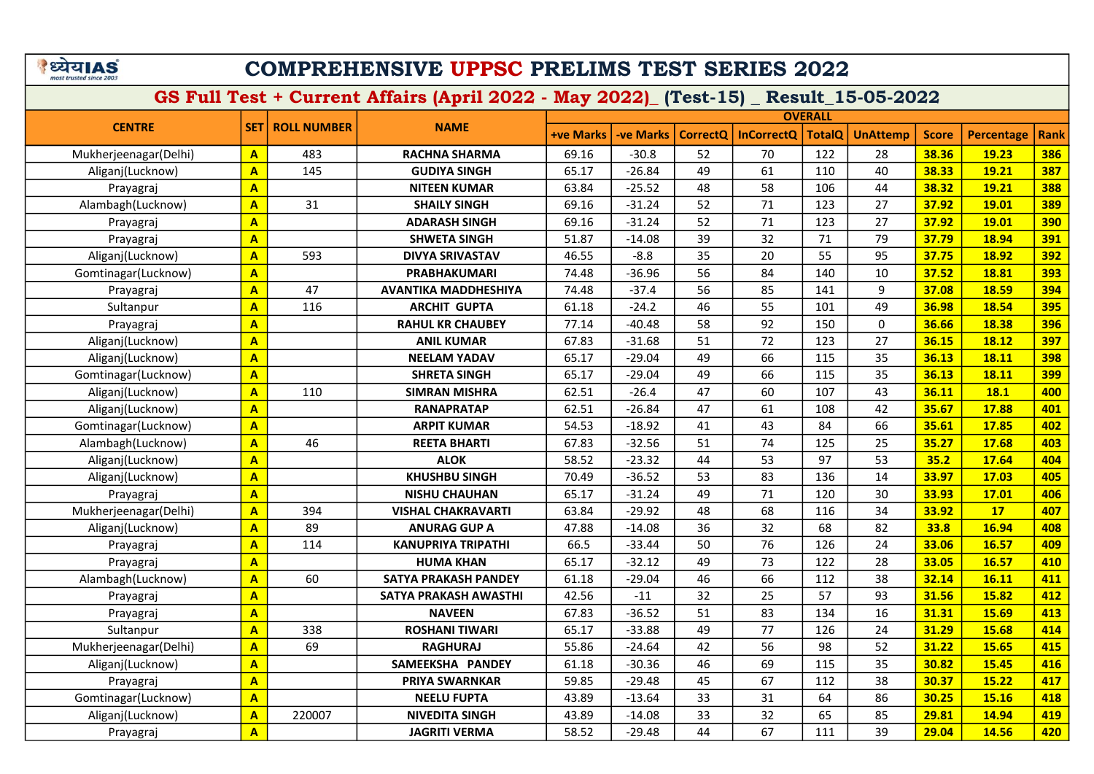#### COMPREHENSIVE UPPSC PRELIMS TEST SERIES 2022

|                       |                         |                    |                             | <b>OVERALL</b>   |           |                 |                   |               |                 |              |                   |             |
|-----------------------|-------------------------|--------------------|-----------------------------|------------------|-----------|-----------------|-------------------|---------------|-----------------|--------------|-------------------|-------------|
| <b>CENTRE</b>         | <b>SET1</b>             | <b>ROLL NUMBER</b> | <b>NAME</b>                 | <b>+ve Marks</b> | -ve Marks | <b>CorrectQ</b> | <b>InCorrectQ</b> | <b>TotalQ</b> | <b>UnAttemp</b> | <b>Score</b> | <b>Percentage</b> | <b>Rank</b> |
| Mukherjeenagar(Delhi) | $\mathbf{A}$            | 483                | <b>RACHNA SHARMA</b>        | 69.16            | $-30.8$   | 52              | 70                | 122           | 28              | 38.36        | 19.23             | 386         |
| Aliganj(Lucknow)      | $\mathbf{A}$            | 145                | <b>GUDIYA SINGH</b>         | 65.17            | $-26.84$  | 49              | 61                | 110           | 40              | 38.33        | 19.21             | 387         |
| Prayagraj             | $\overline{\mathsf{A}}$ |                    | <b>NITEEN KUMAR</b>         | 63.84            | $-25.52$  | 48              | 58                | 106           | 44              | 38.32        | 19.21             | 388         |
| Alambagh(Lucknow)     | $\overline{\mathsf{A}}$ | 31                 | <b>SHAILY SINGH</b>         | 69.16            | $-31.24$  | 52              | 71                | 123           | 27              | 37.92        | 19.01             | 389         |
| Prayagraj             | $\overline{\mathsf{A}}$ |                    | <b>ADARASH SINGH</b>        | 69.16            | $-31.24$  | 52              | 71                | 123           | 27              | 37.92        | 19.01             | 390         |
| Prayagraj             | $\overline{\mathbf{A}}$ |                    | <b>SHWETA SINGH</b>         | 51.87            | $-14.08$  | 39              | 32                | 71            | 79              | 37.79        | 18.94             | 391         |
| Aliganj(Lucknow)      | $\overline{\mathbf{A}}$ | 593                | <b>DIVYA SRIVASTAV</b>      | 46.55            | $-8.8$    | 35              | 20                | 55            | 95              | 37.75        | 18.92             | 392         |
| Gomtinagar(Lucknow)   | $\overline{\mathbf{A}}$ |                    | <b>PRABHAKUMARI</b>         | 74.48            | $-36.96$  | 56              | 84                | 140           | 10              | 37.52        | 18.81             | 393         |
| Prayagraj             | $\overline{\mathbf{A}}$ | 47                 | <b>AVANTIKA MADDHESHIYA</b> | 74.48            | $-37.4$   | 56              | 85                | 141           | 9               | 37.08        | 18.59             | 394         |
| Sultanpur             | $\overline{\mathbf{A}}$ | 116                | <b>ARCHIT GUPTA</b>         | 61.18            | $-24.2$   | 46              | 55                | 101           | 49              | 36.98        | 18.54             | 395         |
| Prayagraj             | $\overline{\mathbf{A}}$ |                    | <b>RAHUL KR CHAUBEY</b>     | 77.14            | $-40.48$  | 58              | 92                | 150           | $\mathbf{0}$    | 36.66        | 18.38             | 396         |
| Aliganj(Lucknow)      | $\mathbf{A}$            |                    | <b>ANIL KUMAR</b>           | 67.83            | $-31.68$  | 51              | 72                | 123           | 27              | 36.15        | 18.12             | 397         |
| Aliganj(Lucknow)      | $\overline{\mathbf{A}}$ |                    | <b>NEELAM YADAV</b>         | 65.17            | $-29.04$  | 49              | 66                | 115           | 35              | 36.13        | 18.11             | 398         |
| Gomtinagar(Lucknow)   | $\mathbf{A}$            |                    | <b>SHRETA SINGH</b>         | 65.17            | $-29.04$  | 49              | 66                | 115           | 35              | 36.13        | 18.11             | <b>399</b>  |
| Aliganj(Lucknow)      | $\mathbf{A}$            | 110                | <b>SIMRAN MISHRA</b>        | 62.51            | $-26.4$   | 47              | 60                | 107           | 43              | 36.11        | <b>18.1</b>       | 400         |
| Aliganj(Lucknow)      | $\overline{\mathbf{A}}$ |                    | <b>RANAPRATAP</b>           | 62.51            | $-26.84$  | 47              | 61                | 108           | 42              | 35.67        | 17.88             | 401         |
| Gomtinagar(Lucknow)   | $\mathbf{A}$            |                    | <b>ARPIT KUMAR</b>          | 54.53            | $-18.92$  | 41              | 43                | 84            | 66              | 35.61        | 17.85             | 402         |
| Alambagh(Lucknow)     | $\mathbf{A}$            | 46                 | <b>REETA BHARTI</b>         | 67.83            | $-32.56$  | 51              | 74                | 125           | 25              | 35.27        | 17.68             | 403         |
| Aliganj(Lucknow)      | $\overline{\mathbf{A}}$ |                    | <b>ALOK</b>                 | 58.52            | $-23.32$  | 44              | 53                | 97            | 53              | 35.2         | 17.64             | 404         |
| Aliganj(Lucknow)      | $\overline{\mathbf{A}}$ |                    | <b>KHUSHBU SINGH</b>        | 70.49            | $-36.52$  | 53              | 83                | 136           | 14              | 33.97        | 17.03             | 405         |
| Prayagraj             | $\overline{\mathbf{A}}$ |                    | <b>NISHU CHAUHAN</b>        | 65.17            | $-31.24$  | 49              | 71                | 120           | 30              | 33.93        | 17.01             | 406         |
| Mukherjeenagar(Delhi) | $\overline{\mathbf{A}}$ | 394                | <b>VISHAL CHAKRAVARTI</b>   | 63.84            | $-29.92$  | 48              | 68                | 116           | 34              | 33.92        | 17                | 407         |
| Aliganj(Lucknow)      | $\mathbf{A}$            | 89                 | <b>ANURAG GUP A</b>         | 47.88            | $-14.08$  | 36              | 32                | 68            | 82              | 33.8         | 16.94             | 408         |
| Prayagraj             | $\mathbf{A}$            | 114                | KANUPRIYA TRIPATHI          | 66.5             | $-33.44$  | 50              | 76                | 126           | 24              | 33.06        | 16.57             | 409         |
| Prayagraj             | $\overline{\mathbf{A}}$ |                    | <b>HUMA KHAN</b>            | 65.17            | $-32.12$  | 49              | 73                | 122           | 28              | 33.05        | 16.57             | 410         |
| Alambagh(Lucknow)     | $\overline{\mathbf{A}}$ | 60                 | SATYA PRAKASH PANDEY        | 61.18            | $-29.04$  | 46              | 66                | 112           | 38              | 32.14        | 16.11             | 411         |
| Prayagraj             | $\mathbf{A}$            |                    | SATYA PRAKASH AWASTHI       | 42.56            | $-11$     | 32              | 25                | 57            | 93              | 31.56        | 15.82             | 412         |
| Prayagraj             | $\overline{\mathbf{A}}$ |                    | <b>NAVEEN</b>               | 67.83            | $-36.52$  | 51              | 83                | 134           | 16              | 31.31        | 15.69             | 413         |
| Sultanpur             | $\overline{A}$          | 338                | <b>ROSHANI TIWARI</b>       | 65.17            | $-33.88$  | 49              | 77                | 126           | 24              | 31.29        | 15.68             | 414         |
| Mukherjeenagar(Delhi) | $\overline{\mathsf{A}}$ | 69                 | <b>RAGHURAJ</b>             | 55.86            | $-24.64$  | 42              | 56                | 98            | 52              | 31.22        | 15.65             | 415         |
| Aliganj(Lucknow)      | A                       |                    | SAMEEKSHA PANDEY            | 61.18            | $-30.36$  | 46              | 69                | 115           | 35              | 30.82        | 15.45             | 416         |
| Prayagraj             | $\mathbf{A}$            |                    | PRIYA SWARNKAR              | 59.85            | $-29.48$  | 45              | 67                | 112           | 38              | 30.37        | 15.22             | 417         |
| Gomtinagar(Lucknow)   | $\overline{\mathbf{A}}$ |                    | <b>NEELU FUPTA</b>          | 43.89            | $-13.64$  | 33              | 31                | 64            | 86              | 30.25        | 15.16             | 418         |
| Aliganj(Lucknow)      | $\overline{\mathbf{A}}$ | 220007             | <b>NIVEDITA SINGH</b>       | 43.89            | $-14.08$  | 33              | 32                | 65            | 85              | 29.81        | 14.94             | 419         |
| Prayagraj             | $\mathbf{A}$            |                    | <b>JAGRITI VERMA</b>        | 58.52            | $-29.48$  | 44              | 67                | 111           | 39              | 29.04        | 14.56             | 420         |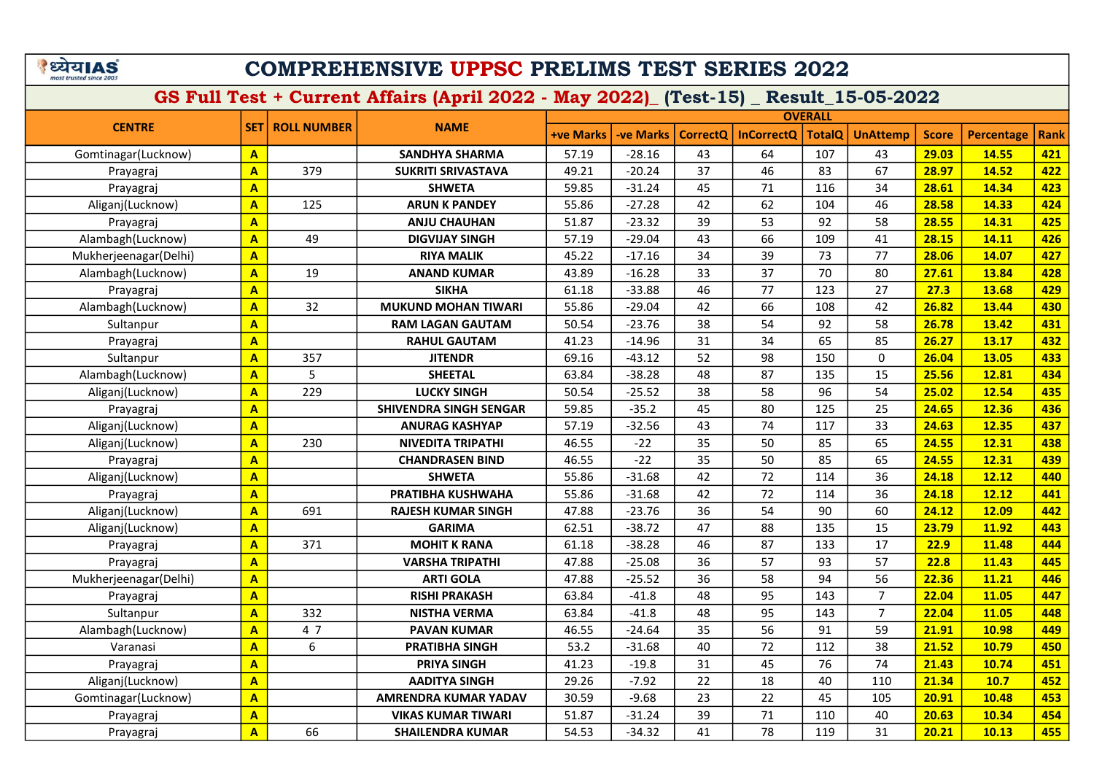|                         | ETIA! | 5) |
|-------------------------|-------|----|
| most trusted since 2003 |       |    |

|                       |                         |                          |                               | <b>OVERALL</b>   |                  |          |                   |               |                 |              |                   |             |
|-----------------------|-------------------------|--------------------------|-------------------------------|------------------|------------------|----------|-------------------|---------------|-----------------|--------------|-------------------|-------------|
| <b>CENTRE</b>         |                         | <b>SET   ROLL NUMBER</b> | <b>NAME</b>                   | <b>+ve Marks</b> | <b>-ve Marks</b> | CorrectQ | <b>InCorrectQ</b> | <b>TotalQ</b> | <b>UnAttemp</b> | <b>Score</b> | <b>Percentage</b> | <b>Rank</b> |
| Gomtinagar(Lucknow)   | $\mathbf{A}$            |                          | <b>SANDHYA SHARMA</b>         | 57.19            | $-28.16$         | 43       | 64                | 107           | 43              | 29.03        | 14.55             | 421         |
| Prayagraj             | $\overline{A}$          | 379                      | <b>SUKRITI SRIVASTAVA</b>     | 49.21            | $-20.24$         | 37       | 46                | 83            | 67              | 28.97        | 14.52             | 422         |
| Prayagraj             | $\overline{\mathbf{A}}$ |                          | <b>SHWETA</b>                 | 59.85            | $-31.24$         | 45       | 71                | 116           | 34              | 28.61        | 14.34             | 423         |
| Aliganj(Lucknow)      | $\mathbf{A}$            | 125                      | <b>ARUN K PANDEY</b>          | 55.86            | $-27.28$         | 42       | 62                | 104           | 46              | 28.58        | 14.33             | 424         |
| Prayagraj             | $\overline{\mathbf{A}}$ |                          | <b>ANJU CHAUHAN</b>           | 51.87            | $-23.32$         | 39       | 53                | 92            | 58              | 28.55        | 14.31             | 425         |
| Alambagh(Lucknow)     | $\overline{\mathbf{A}}$ | 49                       | <b>DIGVIJAY SINGH</b>         | 57.19            | $-29.04$         | 43       | 66                | 109           | 41              | 28.15        | 14.11             | 426         |
| Mukherjeenagar(Delhi) | $\overline{\mathbf{A}}$ |                          | <b>RIYA MALIK</b>             | 45.22            | $-17.16$         | 34       | 39                | 73            | 77              | 28.06        | 14.07             | 427         |
| Alambagh(Lucknow)     | $\overline{\mathbf{A}}$ | 19                       | <b>ANAND KUMAR</b>            | 43.89            | $-16.28$         | 33       | 37                | 70            | 80              | 27.61        | 13.84             | 428         |
| Prayagraj             | $\overline{\mathbf{A}}$ |                          | <b>SIKHA</b>                  | 61.18            | $-33.88$         | 46       | 77                | 123           | 27              | 27.3         | 13.68             | 429         |
| Alambagh(Lucknow)     | $\overline{\mathbf{A}}$ | 32                       | <b>MUKUND MOHAN TIWARI</b>    | 55.86            | $-29.04$         | 42       | 66                | 108           | 42              | 26.82        | 13.44             | 430         |
| Sultanpur             | $\overline{\mathbf{A}}$ |                          | <b>RAM LAGAN GAUTAM</b>       | 50.54            | $-23.76$         | 38       | 54                | 92            | 58              | 26.78        | 13.42             | 431         |
| Prayagraj             | $\overline{\mathsf{A}}$ |                          | <b>RAHUL GAUTAM</b>           | 41.23            | $-14.96$         | 31       | 34                | 65            | 85              | 26.27        | 13.17             | 432         |
| Sultanpur             | $\overline{\mathbf{A}}$ | 357                      | <b>JITENDR</b>                | 69.16            | $-43.12$         | 52       | 98                | 150           | $\mathbf{0}$    | 26.04        | 13.05             | 433         |
| Alambagh(Lucknow)     | $\mathbf{A}$            | 5                        | <b>SHEETAL</b>                | 63.84            | $-38.28$         | 48       | 87                | 135           | 15              | 25.56        | 12.81             | 434         |
| Aliganj(Lucknow)      | $\mathbf{A}$            | 229                      | <b>LUCKY SINGH</b>            | 50.54            | $-25.52$         | 38       | 58                | 96            | 54              | 25.02        | 12.54             | 435         |
| Prayagraj             | $\overline{\mathbf{A}}$ |                          | <b>SHIVENDRA SINGH SENGAR</b> | 59.85            | $-35.2$          | 45       | 80                | 125           | 25              | 24.65        | 12.36             | 436         |
| Aliganj(Lucknow)      | $\overline{\mathbf{A}}$ |                          | <b>ANURAG KASHYAP</b>         | 57.19            | $-32.56$         | 43       | 74                | 117           | 33              | 24.63        | 12.35             | 437         |
| Aliganj(Lucknow)      | $\overline{\mathbf{A}}$ | 230                      | <b>NIVEDITA TRIPATHI</b>      | 46.55            | $-22$            | 35       | 50                | 85            | 65              | 24.55        | 12.31             | 438         |
| Prayagraj             | $\overline{\mathsf{A}}$ |                          | <b>CHANDRASEN BIND</b>        | 46.55            | $-22$            | 35       | 50                | 85            | 65              | 24.55        | 12.31             | 439         |
| Aliganj(Lucknow)      | $\overline{\mathsf{A}}$ |                          | <b>SHWETA</b>                 | 55.86            | $-31.68$         | 42       | 72                | 114           | 36              | 24.18        | 12.12             | 440         |
| Prayagraj             | $\overline{\mathsf{A}}$ |                          | PRATIBHA KUSHWAHA             | 55.86            | $-31.68$         | 42       | 72                | 114           | 36              | 24.18        | 12.12             | 441         |
| Aliganj(Lucknow)      | $\overline{\mathsf{A}}$ | 691                      | <b>RAJESH KUMAR SINGH</b>     | 47.88            | $-23.76$         | 36       | 54                | 90            | 60              | 24.12        | 12.09             | 442         |
| Aliganj(Lucknow)      | $\overline{\mathbf{A}}$ |                          | <b>GARIMA</b>                 | 62.51            | $-38.72$         | 47       | 88                | 135           | 15              | 23.79        | 11.92             | 443         |
| Prayagraj             | $\overline{\mathsf{A}}$ | 371                      | <b>MOHIT K RANA</b>           | 61.18            | $-38.28$         | 46       | 87                | 133           | 17              | 22.9         | 11.48             | 444         |
| Prayagraj             | $\overline{\mathbf{A}}$ |                          | <b>VARSHA TRIPATHI</b>        | 47.88            | $-25.08$         | 36       | 57                | 93            | 57              | 22.8         | 11.43             | 445         |
| Mukherjeenagar(Delhi) | $\overline{A}$          |                          | <b>ARTI GOLA</b>              | 47.88            | $-25.52$         | 36       | 58                | 94            | 56              | 22.36        | 11.21             | 446         |
| Prayagraj             | $\overline{\mathbf{A}}$ |                          | <b>RISHI PRAKASH</b>          | 63.84            | $-41.8$          | 48       | 95                | 143           | $\overline{7}$  | 22.04        | 11.05             | 447         |
| Sultanpur             | $\overline{\mathsf{A}}$ | 332                      | <b>NISTHA VERMA</b>           | 63.84            | $-41.8$          | 48       | 95                | 143           | $\overline{7}$  | 22.04        | 11.05             | 448         |
| Alambagh(Lucknow)     | $\overline{\mathbf{A}}$ | 47                       | <b>PAVAN KUMAR</b>            | 46.55            | $-24.64$         | 35       | 56                | 91            | 59              | 21.91        | 10.98             | 449         |
| Varanasi              | $\overline{A}$          | 6                        | <b>PRATIBHA SINGH</b>         | 53.2             | $-31.68$         | 40       | 72                | 112           | 38              | 21.52        | 10.79             | 450         |
| Prayagraj             | $\overline{\mathbf{A}}$ |                          | <b>PRIYA SINGH</b>            | 41.23            | $-19.8$          | 31       | 45                | 76            | 74              | 21.43        | 10.74             | 451         |
| Aliganj(Lucknow)      | $\overline{A}$          |                          | <b>AADITYA SINGH</b>          | 29.26            | $-7.92$          | 22       | 18                | 40            | 110             | 21.34        | 10.7              | 452         |
| Gomtinagar(Lucknow)   | $\overline{\mathbf{A}}$ |                          | <b>AMRENDRA KUMAR YADAV</b>   | 30.59            | $-9.68$          | 23       | 22                | 45            | 105             | 20.91        | 10.48             | 453         |
| Prayagraj             | $\overline{\mathbf{A}}$ |                          | <b>VIKAS KUMAR TIWARI</b>     | 51.87            | $-31.24$         | 39       | 71                | 110           | 40              | 20.63        | 10.34             | 454         |
| Prayagraj             | $\overline{\mathbf{A}}$ | 66                       | <b>SHAILENDRA KUMAR</b>       | 54.53            | $-34.32$         | 41       | 78                | 119           | 31              | 20.21        | 10.13             | 455         |
|                       |                         |                          |                               |                  |                  |          |                   |               |                 |              |                   |             |